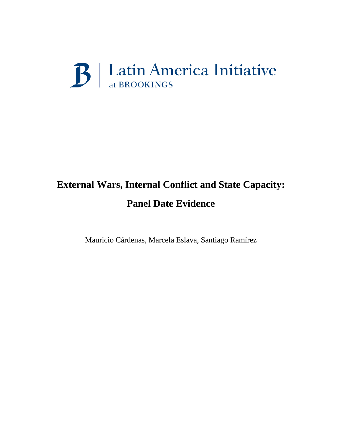# B | Latin America Initiative

# **External Wars, Internal Conflict and State Capacity: Panel Date Evidence**

Mauricio Cárdenas, Marcela Eslava, Santiago Ramírez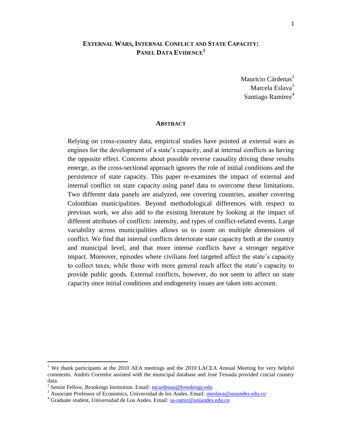# **EXTERNAL WARS, INTERNAL CONFLICT AND STATE CAPACITY: PANEL DATA EVIDENCE<sup>1</sup>**

Mauricio Cárdenas<sup>2</sup> Marcela Eslava<sup>3</sup> Santiago Ramírez<sup>4</sup>

#### **ABSTRACT**

Relying on cross-country data, empirical studies have pointed at external wars as engines for the development of a state's capacity, and at internal conflicts as having the opposite effect. Concerns about possible reverse causality driving these results emerge, as the cross-sectional approach ignores the role of initial conditions and the persistence of state capacity. This paper re-examines the impact of external and internal conflict on state capacity using panel data to overcome these limitations. Two different data panels are analyzed, one covering countries, another covering Colombian municipalities. Beyond methodological differences with respect to previous work, we also add to the existing literature by looking at the impact of different attributes of conflicts: intensity, and types of conflict-related events. Large variability across municipalities allows us to zoom on multiple dimensions of conflict. We find that internal conflicts deteriorate state capacity both at the country and municipal level, and that more intense conflicts have a stronger negative impact. Moreover, episodes where civilians feel targeted affect the state's capacity to collect taxes, while those with more general reach affect the state's capacity to provide public goods. External conflicts, however, do not seem to affect on state capacity once initial conditions and endogeneity issues are taken into account.

<sup>&</sup>lt;sup>1</sup> We thank participants at the 2010 AEA meetings and the 2010 LACEA Annual Meeting for very helpful comments. Andrés Corredor assisted with the municipal database and José Tessada provided crucial country data.

<sup>&</sup>lt;sup>2</sup> Senior Fellow, Brookings Institution. Email[: mcardenas@brookings.edu](mailto:mcardenas@brookings.edu)

<sup>&</sup>lt;sup>3</sup> Associate Professor of Economics, Universidad de los Andes. Email: [meslava@uniandes.edu.co](mailto:meslava@uniandes.edu.co)

<sup>4</sup> Graduate student, Universidad de Los Andes. Email: [sa-ramir@uniandes.edu.co](mailto:sa-ramir@uniandes.edu.co)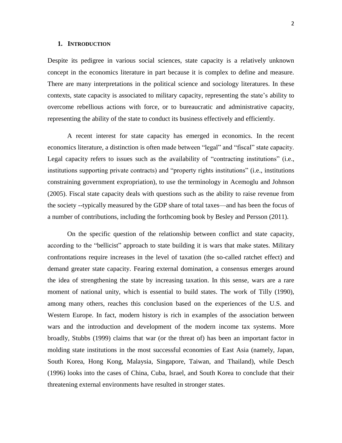#### **1. INTRODUCTION**

Despite its pedigree in various social sciences, state capacity is a relatively unknown concept in the economics literature in part because it is complex to define and measure. There are many interpretations in the political science and sociology literatures. In these contexts, state capacity is associated to military capacity, representing the state's ability to overcome rebellious actions with force, or to bureaucratic and administrative capacity, representing the ability of the state to conduct its business effectively and efficiently.

A recent interest for state capacity has emerged in economics. In the recent economics literature, a distinction is often made between "legal" and "fiscal" state capacity. Legal capacity refers to issues such as the availability of "contracting institutions" (i.e., institutions supporting private contracts) and "property rights institutions" (i.e., institutions constraining government expropriation), to use the terminology in Acemoglu and Johnson (2005). Fiscal state capacity deals with questions such as the ability to raise revenue from the society --typically measured by the GDP share of total taxes—and has been the focus of a number of contributions, including the forthcoming book by Besley and Persson (2011).

On the specific question of the relationship between conflict and state capacity, according to the "bellicist" approach to state building it is wars that make states. Military confrontations require increases in the level of taxation (the so-called ratchet effect) and demand greater state capacity. Fearing external domination, a consensus emerges around the idea of strengthening the state by increasing taxation. In this sense, wars are a rare moment of national unity, which is essential to build states. The work of Tilly (1990), among many others, reaches this conclusion based on the experiences of the U.S. and Western Europe. In fact, modern history is rich in examples of the association between wars and the introduction and development of the modern income tax systems. More broadly, Stubbs (1999) claims that war (or the threat of) has been an important factor in molding state institutions in the most successful economies of East Asia (namely, Japan, South Korea, Hong Kong, Malaysia, Singapore, Taiwan, and Thailand), while Desch (1996) looks into the cases of China, Cuba, Israel, and South Korea to conclude that their threatening external environments have resulted in stronger states.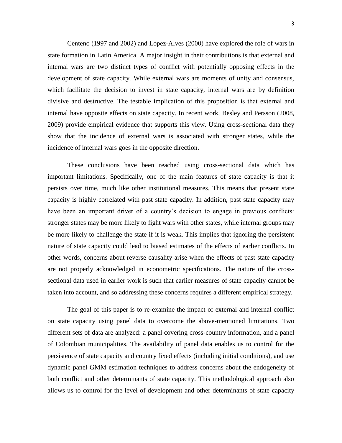Centeno (1997 and 2002) and López-Alves (2000) have explored the role of wars in state formation in Latin America. A major insight in their contributions is that external and internal wars are two distinct types of conflict with potentially opposing effects in the development of state capacity. While external wars are moments of unity and consensus, which facilitate the decision to invest in state capacity, internal wars are by definition divisive and destructive. The testable implication of this proposition is that external and internal have opposite effects on state capacity. In recent work, Besley and Persson (2008, 2009) provide empirical evidence that supports this view. Using cross-sectional data they show that the incidence of external wars is associated with stronger states, while the incidence of internal wars goes in the opposite direction.

These conclusions have been reached using cross-sectional data which has important limitations. Specifically, one of the main features of state capacity is that it persists over time, much like other institutional measures. This means that present state capacity is highly correlated with past state capacity. In addition, past state capacity may have been an important driver of a country's decision to engage in previous conflicts: stronger states may be more likely to fight wars with other states, while internal groups may be more likely to challenge the state if it is weak. This implies that ignoring the persistent nature of state capacity could lead to biased estimates of the effects of earlier conflicts. In other words, concerns about reverse causality arise when the effects of past state capacity are not properly acknowledged in econometric specifications. The nature of the crosssectional data used in earlier work is such that earlier measures of state capacity cannot be taken into account, and so addressing these concerns requires a different empirical strategy.

The goal of this paper is to re-examine the impact of external and internal conflict on state capacity using panel data to overcome the above-mentioned limitations. Two different sets of data are analyzed: a panel covering cross-country information, and a panel of Colombian municipalities. The availability of panel data enables us to control for the persistence of state capacity and country fixed effects (including initial conditions), and use dynamic panel GMM estimation techniques to address concerns about the endogeneity of both conflict and other determinants of state capacity. This methodological approach also allows us to control for the level of development and other determinants of state capacity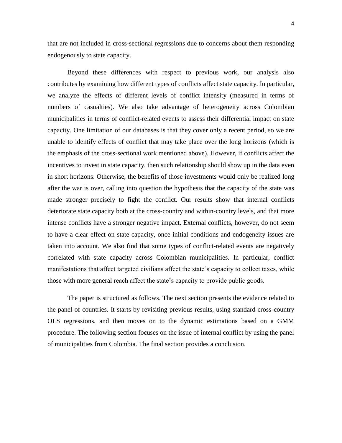that are not included in cross-sectional regressions due to concerns about them responding endogenously to state capacity.

Beyond these differences with respect to previous work, our analysis also contributes by examining how different types of conflicts affect state capacity. In particular, we analyze the effects of different levels of conflict intensity (measured in terms of numbers of casualties). We also take advantage of heterogeneity across Colombian municipalities in terms of conflict-related events to assess their differential impact on state capacity. One limitation of our databases is that they cover only a recent period, so we are unable to identify effects of conflict that may take place over the long horizons (which is the emphasis of the cross-sectional work mentioned above). However, if conflicts affect the incentives to invest in state capacity, then such relationship should show up in the data even in short horizons. Otherwise, the benefits of those investments would only be realized long after the war is over, calling into question the hypothesis that the capacity of the state was made stronger precisely to fight the conflict. Our results show that internal conflicts deteriorate state capacity both at the cross-country and within-country levels, and that more intense conflicts have a stronger negative impact. External conflicts, however, do not seem to have a clear effect on state capacity, once initial conditions and endogeneity issues are taken into account. We also find that some types of conflict-related events are negatively correlated with state capacity across Colombian municipalities. In particular, conflict manifestations that affect targeted civilians affect the state's capacity to collect taxes, while those with more general reach affect the state's capacity to provide public goods.

The paper is structured as follows. The next section presents the evidence related to the panel of countries. It starts by revisiting previous results, using standard cross-country OLS regressions, and then moves on to the dynamic estimations based on a GMM procedure. The following section focuses on the issue of internal conflict by using the panel of municipalities from Colombia. The final section provides a conclusion.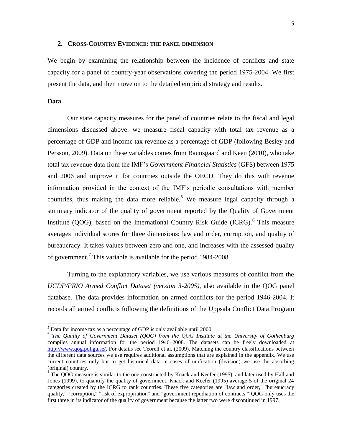#### **2. CROSS-COUNTRY EVIDENCE: THE PANEL DIMENSION**

We begin by examining the relationship between the incidence of conflicts and state capacity for a panel of country-year observations covering the period 1975-2004. We first present the data, and then move on to the detailed empirical strategy and results.

# **Data**

 $\overline{a}$ 

Our state capacity measures for the panel of countries relate to the fiscal and legal dimensions discussed above: we measure fiscal capacity with total tax revenue as a percentage of GDP and income tax revenue as a percentage of GDP (following Besley and Persson, 2009). Data on these variables comes from Baunsgaard and Keen (2010), who take total tax revenue data from the IMF's *Government Financial Statistics* (GFS) between 1975 and 2006 and improve it for countries outside the OECD. They do this with revenue information provided in the context of the IMF's periodic consultations with member countries, thus making the data more reliable.<sup>5</sup> We measure legal capacity through a summary indicator of the quality of government reported by the Quality of Government Institute (QOG), based on the International Country Risk Guide (ICRG).<sup>6</sup> This measure averages individual scores for three dimensions: law and order, corruption, and quality of bureaucracy. It takes values between zero and one, and increases with the assessed quality of government.<sup>7</sup> This variable is available for the period 1984-2008.

Turning to the explanatory variables, we use various measures of conflict from the *UCDP/PRIO Armed Conflict Dataset (version 3-2005),* also available in the QOG panel database. The data provides information on armed conflicts for the period 1946-2004. It records all armed conflicts following the definitions of the Uppsala Conflict Data Program

 $<sup>5</sup>$  Data for income tax as a percentage of GDP is only available until 2000.</sup>

<sup>6</sup> *The Quality of Government Dataset (QOG) from the QOG Institute at the University of Gothenburg* compiles annual information for the period 1946–2008. The datasets can be freely downloaded at [http://www.qog.pol.gu.se/.](http://www.qog.pol.gu.se/) For details see Teorell et al. (2009). Matching the country classifications between the different data sources we use requires additional assumptions that are explained in the appendix. We use current countries only but to get historical data in cases of unification (division) we use the absorbing (original) country.

 $<sup>7</sup>$  The QOG measure is similar to the one constructed by Knack and Keefer (1995), and later used by Hall and</sup> Jones (1999), to quantify the quality of government. Knack and Keefer (1995) average 5 of the original 24 categories created by the ICRG to rank countries. These five categories are "law and order," "bureaucracy quality," "corruption," "risk of expropriation" and "government repudiation of contracts." QOG only uses the first three in its indicator of the quality of government because the latter two were discontinued in 1997.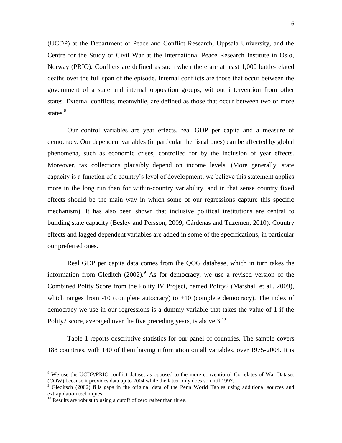(UCDP) at the Department of Peace and Conflict Research, Uppsala University, and the Centre for the Study of Civil War at the International Peace Research Institute in Oslo, Norway (PRIO). Conflicts are defined as such when there are at least 1,000 battle-related deaths over the full span of the episode. Internal conflicts are those that occur between the government of a state and internal opposition groups, without intervention from other states. External conflicts, meanwhile, are defined as those that occur between two or more states.<sup>8</sup>

Our control variables are year effects, real GDP per capita and a measure of democracy. Our dependent variables (in particular the fiscal ones) can be affected by global phenomena, such as economic crises, controlled for by the inclusion of year effects. Moreover, tax collections plausibly depend on income levels. (More generally, state capacity is a function of a country's level of development; we believe this statement applies more in the long run than for within-country variability, and in that sense country fixed effects should be the main way in which some of our regressions capture this specific mechanism). It has also been shown that inclusive political institutions are central to building state capacity (Besley and Persson, 2009; Cárdenas and Tuzemen, 2010). Country effects and lagged dependent variables are added in some of the specifications, in particular our preferred ones.

Real GDP per capita data comes from the QOG database, which in turn takes the information from Gleditch  $(2002)$ .<sup>9</sup> As for democracy, we use a revised version of the Combined Polity Score from the Polity IV Project, named Polity2 (Marshall et al., 2009), which ranges from  $-10$  (complete autocracy) to  $+10$  (complete democracy). The index of democracy we use in our regressions is a dummy variable that takes the value of 1 if the Polity2 score, averaged over the five preceding years, is above 3.<sup>10</sup>

Table 1 reports descriptive statistics for our panel of countries. The sample covers 188 countries, with 140 of them having information on all variables, over 1975-2004. It is

 $\ddot{\phantom{a}}$ 

<sup>&</sup>lt;sup>8</sup> We use the UCDP/PRIO conflict dataset as opposed to the more conventional Correlates of War Dataset (COW) because it provides data up to 2004 while the latter only does so until 1997.

<sup>&</sup>lt;sup>9</sup> Gleditsch (2002) fills gaps in the original data of the Penn World Tables using additional sources and extrapolation techniques.

 $10$  Results are robust to using a cutoff of zero rather than three.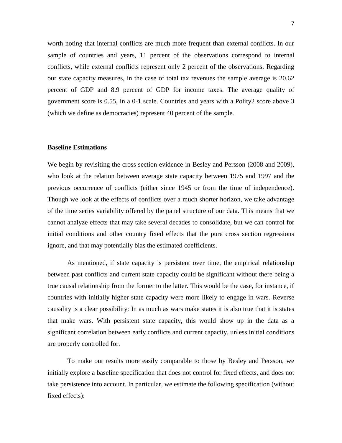worth noting that internal conflicts are much more frequent than external conflicts. In our sample of countries and years, 11 percent of the observations correspond to internal conflicts, while external conflicts represent only 2 percent of the observations. Regarding our state capacity measures, in the case of total tax revenues the sample average is 20.62 percent of GDP and 8.9 percent of GDP for income taxes. The average quality of government score is 0.55, in a 0-1 scale. Countries and years with a Polity2 score above 3 (which we define as democracies) represent 40 percent of the sample.

### **Baseline Estimations**

We begin by revisiting the cross section evidence in Besley and Persson (2008 and 2009), who look at the relation between average state capacity between 1975 and 1997 and the previous occurrence of conflicts (either since 1945 or from the time of independence). Though we look at the effects of conflicts over a much shorter horizon, we take advantage of the time series variability offered by the panel structure of our data. This means that we cannot analyze effects that may take several decades to consolidate, but we can control for initial conditions and other country fixed effects that the pure cross section regressions ignore, and that may potentially bias the estimated coefficients.

As mentioned, if state capacity is persistent over time, the empirical relationship between past conflicts and current state capacity could be significant without there being a true causal relationship from the former to the latter. This would be the case, for instance, if countries with initially higher state capacity were more likely to engage in wars. Reverse causality is a clear possibility: In as much as wars make states it is also true that it is states that make wars. With persistent state capacity, this would show up in the data as a significant correlation between early conflicts and current capacity, unless initial conditions are properly controlled for.

To make our results more easily comparable to those by Besley and Persson, we initially explore a baseline specification that does not control for fixed effects, and does not take persistence into account. In particular, we estimate the following specification (without fixed effects):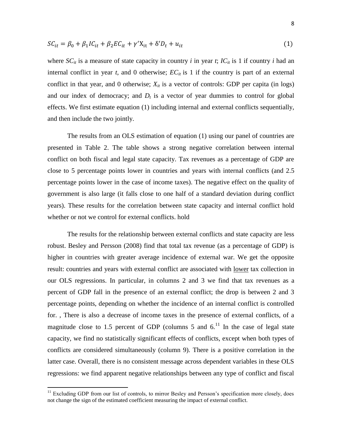$$
SC_{it} = \beta_0 + \beta_1 IC_{it} + \beta_2 EC_{it} + \gamma' X_{it} + \delta' D_t + u_{it}
$$
\n
$$
\tag{1}
$$

where  $SC_{it}$  is a measure of state capacity in country *i* in year *t*;  $IC_{it}$  is 1 if country *i* had an internal conflict in year  $t$ , and 0 otherwise;  $EC_{it}$  is 1 if the country is part of an external conflict in that year, and 0 otherwise;  $X_{it}$  is a vector of controls: GDP per capita (in logs) and our index of democracy; and  $D_t$  is a vector of year dummies to control for global effects. We first estimate equation (1) including internal and external conflicts sequentially, and then include the two jointly.

The results from an OLS estimation of equation (1) using our panel of countries are presented in Table 2. The table shows a strong negative correlation between internal conflict on both fiscal and legal state capacity. Tax revenues as a percentage of GDP are close to 5 percentage points lower in countries and years with internal conflicts (and 2.5 percentage points lower in the case of income taxes). The negative effect on the quality of government is also large (it falls close to one half of a standard deviation during conflict years). These results for the correlation between state capacity and internal conflict hold whether or not we control for external conflicts. hold

The results for the relationship between external conflicts and state capacity are less robust. Besley and Persson (2008) find that total tax revenue (as a percentage of GDP) is higher in countries with greater average incidence of external war. We get the opposite result: countries and years with external conflict are associated with lower tax collection in our OLS regressions. In particular, in columns 2 and 3 we find that tax revenues as a percent of GDP fall in the presence of an external conflict; the drop is between 2 and 3 percentage points, depending on whether the incidence of an internal conflict is controlled for. , There is also a decrease of income taxes in the presence of external conflicts, of a magnitude close to 1.5 percent of GDP (columns 5 and  $6<sup>11</sup>$  In the case of legal state capacity, we find no statistically significant effects of conflicts, except when both types of conflicts are considered simultaneously (column 9). There is a positive correlation in the latter case. Overall, there is no consistent message across dependent variables in these OLS regressions: we find apparent negative relationships between any type of conflict and fiscal

 $\ddot{\phantom{a}}$ 

<sup>&</sup>lt;sup>11</sup> Excluding GDP from our list of controls, to mirror Besley and Persson's specification more closely, does not change the sign of the estimated coefficient measuring the impact of external conflict.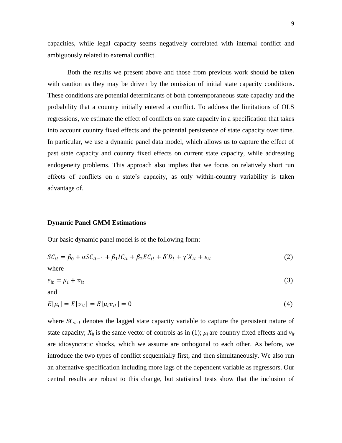capacities, while legal capacity seems negatively correlated with internal conflict and ambiguously related to external conflict.

Both the results we present above and those from previous work should be taken with caution as they may be driven by the omission of initial state capacity conditions. These conditions are potential determinants of both contemporaneous state capacity and the probability that a country initially entered a conflict. To address the limitations of OLS regressions, we estimate the effect of conflicts on state capacity in a specification that takes into account country fixed effects and the potential persistence of state capacity over time. In particular, we use a dynamic panel data model, which allows us to capture the effect of past state capacity and country fixed effects on current state capacity, while addressing endogeneity problems. This approach also implies that we focus on relatively short run effects of conflicts on a state's capacity, as only within-country variability is taken advantage of.

### **Dynamic Panel GMM Estimations**

Our basic dynamic panel model is of the following form:

$$
SC_{it} = \beta_0 + \alpha SC_{it-1} + \beta_1 IC_{it} + \beta_2 EC_{it} + \delta' D_t + \gamma' X_{it} + \varepsilon_{it}
$$
\n(2)

where

$$
\varepsilon_{it} = \mu_i + \nu_{it} \tag{3}
$$

and

$$
E[\mu_i] = E[\nu_{it}] = E[\mu_i \nu_{it}] = 0 \tag{4}
$$

where  $SC_{it-1}$  denotes the lagged state capacity variable to capture the persistent nature of state capacity;  $X_{it}$  is the same vector of controls as in (1);  $\mu_i$  are country fixed effects and  $v_{it}$ are idiosyncratic shocks, which we assume are orthogonal to each other. As before, we introduce the two types of conflict sequentially first, and then simultaneously. We also run an alternative specification including more lags of the dependent variable as regressors. Our central results are robust to this change, but statistical tests show that the inclusion of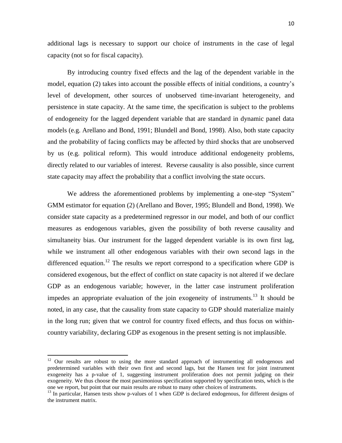additional lags is necessary to support our choice of instruments in the case of legal capacity (not so for fiscal capacity).

By introducing country fixed effects and the lag of the dependent variable in the model, equation (2) takes into account the possible effects of initial conditions, a country's level of development, other sources of unobserved time-invariant heterogeneity, and persistence in state capacity. At the same time, the specification is subject to the problems of endogeneity for the lagged dependent variable that are standard in dynamic panel data models (e.g. Arellano and Bond, 1991; Blundell and Bond, 1998). Also, both state capacity and the probability of facing conflicts may be affected by third shocks that are unobserved by us (e.g. political reform). This would introduce additional endogeneity problems, directly related to our variables of interest. Reverse causality is also possible, since current state capacity may affect the probability that a conflict involving the state occurs.

We address the aforementioned problems by implementing a one-step "System" GMM estimator for equation (2) (Arellano and Bover, 1995; Blundell and Bond, 1998). We consider state capacity as a predetermined regressor in our model, and both of our conflict measures as endogenous variables, given the possibility of both reverse causality and simultaneity bias. Our instrument for the lagged dependent variable is its own first lag, while we instrument all other endogenous variables with their own second lags in the differenced equation.<sup>12</sup> The results we report correspond to a specification where GDP is considered exogenous, but the effect of conflict on state capacity is not altered if we declare GDP as an endogenous variable; however, in the latter case instrument proliferation impedes an appropriate evaluation of the join exogeneity of instruments.<sup>13</sup> It should be noted, in any case, that the causality from state capacity to GDP should materialize mainly in the long run; given that we control for country fixed effects, and thus focus on withincountry variability, declaring GDP as exogenous in the present setting is not implausible.

 $12$  Our results are robust to using the more standard approach of instrumenting all endogenous and predetermined variables with their own first and second lags, but the Hansen test for joint instrument exogeneity has a p-value of 1, suggesting instrument proliferation does not permit judging on their exogeneity. We thus choose the most parsimonious specification supported by specification tests, which is the one we report, but point that our main results are robust to many other choices of instruments.

 $13$  In particular, Hansen tests show p-values of 1 when GDP is declared endogenous, for different designs of the instrument matrix.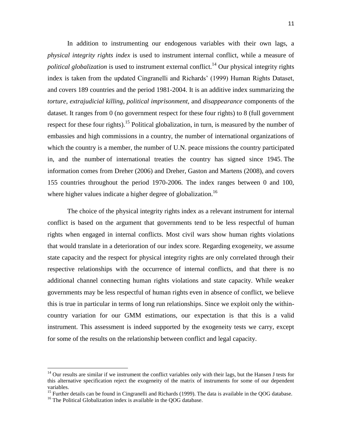In addition to instrumenting our endogenous variables with their own lags, a *physical integrity rights index* is used to instrument internal conflict, while a measure of *political globalization* is used to instrument external conflict.<sup>14</sup> Our physical integrity rights index is taken from the updated Cingranelli and Richards' (1999) Human Rights Dataset, and covers 189 countries and the period 1981-2004. It is an additive index summarizing the *torture*, *extrajudicial killing*, *political imprisonment*, and *disappearance* components of the dataset. It ranges from 0 (no government respect for these four rights) to 8 (full government respect for these four rights).<sup>15</sup> Political globalization, in turn, is measured by the number of embassies and high commissions in a country, the number of international organizations of which the country is a member, the number of U.N. peace missions the country participated in, and the number of international treaties the country has signed since 1945. The information comes from Dreher (2006) and Dreher, Gaston and Martens (2008), and covers 155 countries throughout the period 1970-2006. The index ranges between 0 and 100, where higher values indicate a higher degree of globalization.<sup>16</sup>

The choice of the physical integrity rights index as a relevant instrument for internal conflict is based on the argument that governments tend to be less respectful of human rights when engaged in internal conflicts. Most civil wars show human rights violations that would translate in a deterioration of our index score. Regarding exogeneity, we assume state capacity and the respect for physical integrity rights are only correlated through their respective relationships with the occurrence of internal conflicts, and that there is no additional channel connecting human rights violations and state capacity. While weaker governments may be less respectful of human rights even in absence of conflict, we believe this is true in particular in terms of long run relationships. Since we exploit only the withincountry variation for our GMM estimations, our expectation is that this is a valid instrument. This assessment is indeed supported by the exogeneity tests we carry, except for some of the results on the relationship between conflict and legal capacity.

 $\ddot{\phantom{a}}$ 

 $14$  Our results are similar if we instrument the conflict variables only with their lags, but the Hansen J tests for this alternative specification reject the exogeneity of the matrix of instruments for some of our dependent variables.

<sup>&</sup>lt;sup>15</sup> Further details can be found in Cingranelli and Richards (1999). The data is available in the QOG database.

<sup>&</sup>lt;sup>16</sup> The Political Globalization index is available in the QOG database.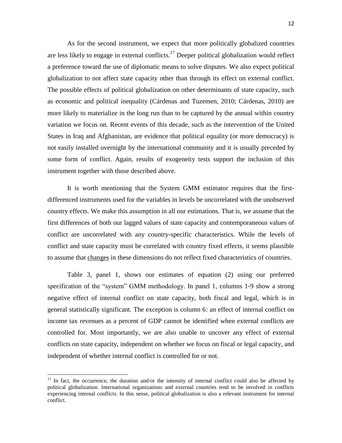As for the second instrument, we expect that more politically globalized countries are less likely to engage in external conflicts.<sup>17</sup> Deeper political globalization would reflect a preference toward the use of diplomatic means to solve disputes. We also expect political globalization to not affect state capacity other than through its effect on external conflict. The possible effects of political globalization on other determinants of state capacity, such as economic and political inequality (Cárdenas and Tuzemen, 2010; Cárdenas, 2010) are more likely to materialize in the long run than to be captured by the annual within country variation we focus on. Recent events of this decade, such as the intervention of the United States in Iraq and Afghanistan, are evidence that political equality (or more democracy) is not easily installed overnight by the international community and it is usually preceded by some form of conflict. Again, results of exogeneity tests support the inclusion of this instrument together with those described above.

It is worth mentioning that the System GMM estimator requires that the firstdifferenced instruments used for the variables in levels be uncorrelated with the unobserved country effects. We make this assumption in all our estimations. That is, we assume that the first differences of both our lagged values of state capacity and contemporaneous values of conflict are uncorrelated with any country-specific characteristics. While the levels of conflict and state capacity must be correlated with country fixed effects, it seems plausible to assume that changes in these dimensions do not reflect fixed characteristics of countries.

Table 3, panel 1, shows our estimates of equation (2) using our preferred specification of the "system" GMM methodology. In panel 1, columns 1-9 show a strong negative effect of internal conflict on state capacity, both fiscal and legal, which is in general statistically significant. The exception is column 6: an effect of internal conflict on income tax revenues as a percent of GDP cannot be identified when external conflicts are controlled for. Most importantly, we are also unable to uncover any effect of external conflicts on state capacity, independent on whether we focus on fiscal or legal capacity, and independent of whether internal conflict is controlled for or not.

 $17$  In fact, the occurrence, the duration and/or the intensity of internal conflict could also be affected by political globalization. International organizations and external countries tend to be involved in conflicts experiencing internal conflicts. In this sense, political globalization is also a relevant instrument for internal conflict.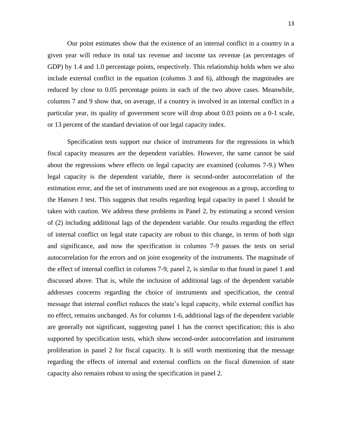Our point estimates show that the existence of an internal conflict in a country in a given year will reduce its total tax revenue and income tax revenue (as percentages of GDP) by 1.4 and 1.0 percentage points, respectively. This relationship holds when we also include external conflict in the equation (columns 3 and 6), although the magnitudes are reduced by close to 0.05 percentage points in each of the two above cases. Meanwhile, columns 7 and 9 show that, on average, if a country is involved in an internal conflict in a particular year, its quality of government score will drop about 0.03 points on a 0-1 scale, or 13 percent of the standard deviation of our legal capacity index.

Specification tests support our choice of instruments for the regressions in which fiscal capacity measures are the dependent variables. However, the same cannot be said about the regressions where effects on legal capacity are examined (columns 7-9.) When legal capacity is the dependent variable, there is second-order autocorrelation of the estimation error, and the set of instruments used are not exogenous as a group, according to the Hansen J test. This suggests that results regarding legal capacity in panel 1 should be taken with caution. We address these problems in Panel 2, by estimating a second version of (2) including additional lags of the dependent variable. Our results regarding the effect of internal conflict on legal state capacity are robust to this change, in terms of both sign and significance, and now the specification in columns 7-9 passes the tests on serial autocorrelation for the errors and on joint exogeneity of the instruments. The magnitude of the effect of internal conflict in columns 7-9, panel 2, is similar to that found in panel 1 and discussed above. That is, while the inclusion of additional lags of the dependent variable addresses concerns regarding the choice of instruments and specification, the central message that internal conflict reduces the state's legal capacity, while external conflict has no effect, remains unchanged. As for columns 1-6, additional lags of the dependent variable are generally not significant, suggesting panel 1 has the correct specification; this is also supported by specification tests, which show second-order autocorrelation and instrument proliferation in panel 2 for fiscal capacity. It is still worth mentioning that the message regarding the effects of internal and external conflicts on the fiscal dimension of state capacity also remains robust to using the specification in panel 2.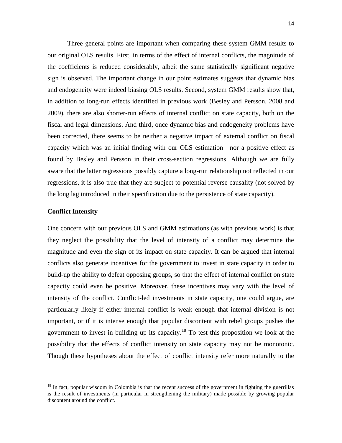Three general points are important when comparing these system GMM results to our original OLS results. First, in terms of the effect of internal conflicts, the magnitude of the coefficients is reduced considerably, albeit the same statistically significant negative sign is observed. The important change in our point estimates suggests that dynamic bias and endogeneity were indeed biasing OLS results. Second, system GMM results show that, in addition to long-run effects identified in previous work (Besley and Persson, 2008 and 2009), there are also shorter-run effects of internal conflict on state capacity, both on the fiscal and legal dimensions. And third, once dynamic bias and endogeneity problems have been corrected, there seems to be neither a negative impact of external conflict on fiscal capacity which was an initial finding with our OLS estimation—nor a positive effect as found by Besley and Persson in their cross-section regressions. Although we are fully aware that the latter regressions possibly capture a long-run relationship not reflected in our regressions, it is also true that they are subject to potential reverse causality (not solved by the long lag introduced in their specification due to the persistence of state capacity).

#### **Conflict Intensity**

 $\overline{a}$ 

One concern with our previous OLS and GMM estimations (as with previous work) is that they neglect the possibility that the level of intensity of a conflict may determine the magnitude and even the sign of its impact on state capacity. It can be argued that internal conflicts also generate incentives for the government to invest in state capacity in order to build-up the ability to defeat opposing groups, so that the effect of internal conflict on state capacity could even be positive. Moreover, these incentives may vary with the level of intensity of the conflict. Conflict-led investments in state capacity, one could argue, are particularly likely if either internal conflict is weak enough that internal division is not important, or if it is intense enough that popular discontent with rebel groups pushes the government to invest in building up its capacity.<sup>18</sup> To test this proposition we look at the possibility that the effects of conflict intensity on state capacity may not be monotonic. Though these hypotheses about the effect of conflict intensity refer more naturally to the

 $18$  In fact, popular wisdom in Colombia is that the recent success of the government in fighting the guerrillas is the result of investments (in particular in strengthening the military) made possible by growing popular discontent around the conflict.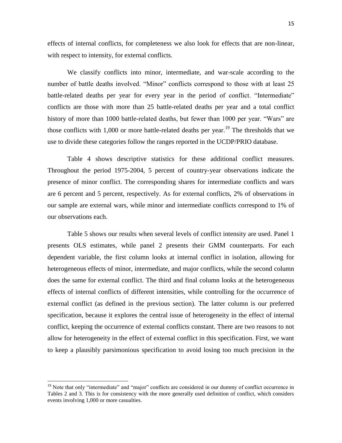effects of internal conflicts, for completeness we also look for effects that are non-linear, with respect to intensity, for external conflicts.

We classify conflicts into minor, intermediate, and war-scale according to the number of battle deaths involved. "Minor" conflicts correspond to those with at least 25 battle-related deaths per year for every year in the period of conflict. "Intermediate" conflicts are those with more than 25 battle-related deaths per year and a total conflict history of more than 1000 battle-related deaths, but fewer than 1000 per year. "Wars" are those conflicts with 1,000 or more battle-related deaths per year.<sup>19</sup> The thresholds that we use to divide these categories follow the ranges reported in the UCDP/PRIO database.

Table 4 shows descriptive statistics for these additional conflict measures. Throughout the period 1975-2004, 5 percent of country-year observations indicate the presence of minor conflict. The corresponding shares for intermediate conflicts and wars are 6 percent and 5 percent, respectively. As for external conflicts, 2% of observations in our sample are external wars, while minor and intermediate conflicts correspond to 1% of our observations each.

Table 5 shows our results when several levels of conflict intensity are used. Panel 1 presents OLS estimates, while panel 2 presents their GMM counterparts. For each dependent variable, the first column looks at internal conflict in isolation, allowing for heterogeneous effects of minor, intermediate, and major conflicts, while the second column does the same for external conflict. The third and final column looks at the heterogeneous effects of internal conflicts of different intensities, while controlling for the occurrence of external conflict (as defined in the previous section). The latter column is our preferred specification, because it explores the central issue of heterogeneity in the effect of internal conflict, keeping the occurrence of external conflicts constant. There are two reasons to not allow for heterogeneity in the effect of external conflict in this specification. First, we want to keep a plausibly parsimonious specification to avoid losing too much precision in the

<sup>&</sup>lt;sup>19</sup> Note that only "intermediate" and "major" conflicts are considered in our dummy of conflict occurrence in Tables 2 and 3. This is for consistency with the more generally used definition of conflict, which considers events involving 1,000 or more casualties.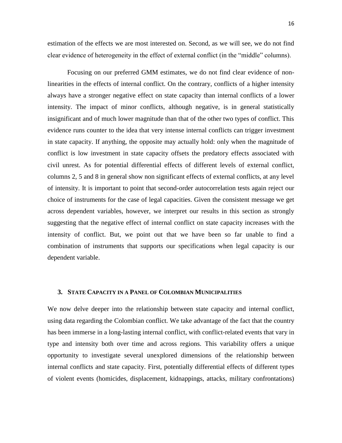estimation of the effects we are most interested on. Second, as we will see, we do not find clear evidence of heterogeneity in the effect of external conflict (in the "middle" columns).

Focusing on our preferred GMM estimates, we do not find clear evidence of nonlinearities in the effects of internal conflict. On the contrary, conflicts of a higher intensity always have a stronger negative effect on state capacity than internal conflicts of a lower intensity. The impact of minor conflicts, although negative, is in general statistically insignificant and of much lower magnitude than that of the other two types of conflict. This evidence runs counter to the idea that very intense internal conflicts can trigger investment in state capacity. If anything, the opposite may actually hold: only when the magnitude of conflict is low investment in state capacity offsets the predatory effects associated with civil unrest. As for potential differential effects of different levels of external conflict, columns 2, 5 and 8 in general show non significant effects of external conflicts, at any level of intensity. It is important to point that second-order autocorrelation tests again reject our choice of instruments for the case of legal capacities. Given the consistent message we get across dependent variables, however, we interpret our results in this section as strongly suggesting that the negative effect of internal conflict on state capacity increases with the intensity of conflict. But, we point out that we have been so far unable to find a combination of instruments that supports our specifications when legal capacity is our dependent variable.

# **3. STATE CAPACITY IN A PANEL OF COLOMBIAN MUNICIPALITIES**

We now delve deeper into the relationship between state capacity and internal conflict, using data regarding the Colombian conflict. We take advantage of the fact that the country has been immerse in a long-lasting internal conflict, with conflict-related events that vary in type and intensity both over time and across regions. This variability offers a unique opportunity to investigate several unexplored dimensions of the relationship between internal conflicts and state capacity. First, potentially differential effects of different types of violent events (homicides, displacement, kidnappings, attacks, military confrontations)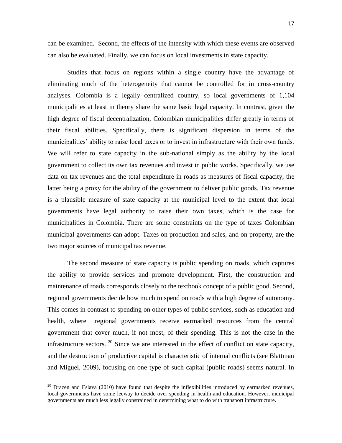can be examined. Second, the effects of the intensity with which these events are observed

Studies that focus on regions within a single country have the advantage of eliminating much of the heterogeneity that cannot be controlled for in cross-country analyses. Colombia is a legally centralized country, so local governments of 1,104 municipalities at least in theory share the same basic legal capacity. In contrast, given the high degree of fiscal decentralization, Colombian municipalities differ greatly in terms of their fiscal abilities. Specifically, there is significant dispersion in terms of the municipalities' ability to raise local taxes or to invest in infrastructure with their own funds. We will refer to state capacity in the sub-national simply as the ability by the local government to collect its own tax revenues and invest in public works. Specifically, we use data on tax revenues and the total expenditure in roads as measures of fiscal capacity, the latter being a proxy for the ability of the government to deliver public goods. Tax revenue is a plausible measure of state capacity at the municipal level to the extent that local governments have legal authority to raise their own taxes, which is the case for municipalities in Colombia. There are some constraints on the type of taxes Colombian municipal governments can adopt. Taxes on production and sales, and on property, are the two major sources of municipal tax revenue.

can also be evaluated. Finally, we can focus on local investments in state capacity.

The second measure of state capacity is public spending on roads, which captures the ability to provide services and promote development. First, the construction and maintenance of roads corresponds closely to the textbook concept of a public good. Second, regional governments decide how much to spend on roads with a high degree of autonomy. This comes in contrast to spending on other types of public services, such as education and health, where regional governments receive earmarked resources from the central government that cover much, if not most, of their spending. This is not the case in the infrastructure sectors.  $20$  Since we are interested in the effect of conflict on state capacity, and the destruction of productive capital is characteristic of internal conflicts (see Blattman and Miguel, 2009), focusing on one type of such capital (public roads) seems natural. In

 $20$  Drazen and Eslava (2010) have found that despite the inflexibilities introduced by earmarked revenues, local governments have some leeway to decide over spending in health and education. However, municipal governments are much less legally constrained in determining what to do with transport infrastructure.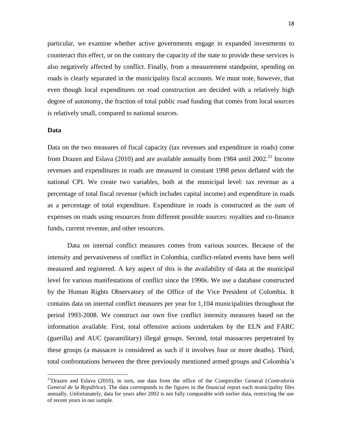particular, we examine whether active governments engage in expanded investments to counteract this effect, or on the contrary the capacity of the state to provide these services is also negatively affected by conflict. Finally, from a measurement standpoint, spending on roads is clearly separated in the municipality fiscal accounts. We must note, however, that even though local expenditures on road construction are decided with a relatively high degree of autonomy, the fraction of total public road funding that comes from local sources is relatively small, compared to national sources.

# **Data**

 $\overline{a}$ 

Data on the two measures of fiscal capacity (tax revenues and expenditure in roads) come from Drazen and Eslava (2010) and are available annually from 1984 until  $2002<sup>21</sup>$  Income revenues and expenditures in roads are measured in constant 1998 pesos deflated with the national CPI. We create two variables, both at the municipal level: tax revenue as a percentage of total fiscal revenue (which includes capital income) and expenditure in roads as a percentage of total expenditure. Expenditure in roads is constructed as the sum of expenses on roads using resources from different possible sources: royalties and co-finance funds, current revenue, and other resources.

Data on internal conflict measures comes from various sources. Because of the intensity and pervasiveness of conflict in Colombia, conflict-related events have been well measured and registered. A key aspect of this is the availability of data at the municipal level for various manifestations of conflict since the 1990s. We use a database constructed by the Human Rights Observatory of the Office of the Vice President of Colombia. It contains data on internal conflict measures per year for 1,104 municipalities throughout the period 1993-2008. We construct our own five conflict intensity measures based on the information available. First, total offensive actions undertaken by the ELN and FARC (guerilla) and AUC (paramilitary) illegal groups. Second, total massacres perpetrated by these groups (a massacre is considered as such if it involves four or more deaths). Third, total confrontations between the three previously mentioned armed groups and Colombia's

<sup>21</sup>Drazen and Eslava (2010), in turn, use data from the office of the Comptroller General (*Contraloría General de la República*). The data corresponds to the figures in the financial report each municipality files annually. Unfortunately, data for years after 2002 is not fully comparable with earlier data, restricting the use of recent years in our sample.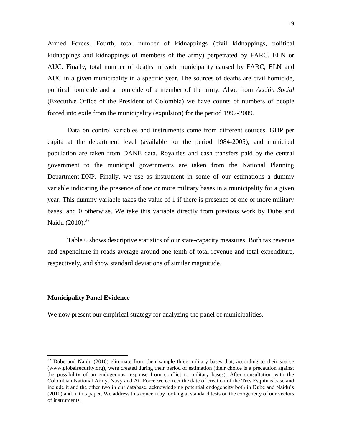Armed Forces. Fourth, total number of kidnappings (civil kidnappings, political kidnappings and kidnappings of members of the army) perpetrated by FARC, ELN or AUC. Finally, total number of deaths in each municipality caused by FARC, ELN and AUC in a given municipality in a specific year. The sources of deaths are civil homicide, political homicide and a homicide of a member of the army. Also, from *Acción Social* (Executive Office of the President of Colombia) we have counts of numbers of people forced into exile from the municipality (expulsion) for the period 1997-2009.

Data on control variables and instruments come from different sources. GDP per capita at the department level (available for the period 1984-2005), and municipal population are taken from DANE data. Royalties and cash transfers paid by the central government to the municipal governments are taken from the National Planning Department-DNP. Finally, we use as instrument in some of our estimations a dummy variable indicating the presence of one or more military bases in a municipality for a given year. This dummy variable takes the value of 1 if there is presence of one or more military bases, and 0 otherwise. We take this variable directly from previous work by Dube and Naidu  $(2010)^{22}$ 

Table 6 shows descriptive statistics of our state-capacity measures. Both tax revenue and expenditure in roads average around one tenth of total revenue and total expenditure, respectively, and show standard deviations of similar magnitude.

#### **Municipality Panel Evidence**

 $\overline{a}$ 

We now present our empirical strategy for analyzing the panel of municipalities.

 $22$  Dube and Naidu (2010) eliminate from their sample three military bases that, according to their source (www.globalsecurity.org), were created during their period of estimation (their choice is a precaution against the possibility of an endogenous response from conflict to military bases). After consultation with the Colombian National Army, Navy and Air Force we correct the date of creation of the Tres Esquinas base and include it and the other two in our database, acknowledging potential endogeneity both in Dube and Naidu's (2010) and in this paper. We address this concern by looking at standard tests on the exogeneity of our vectors of instruments.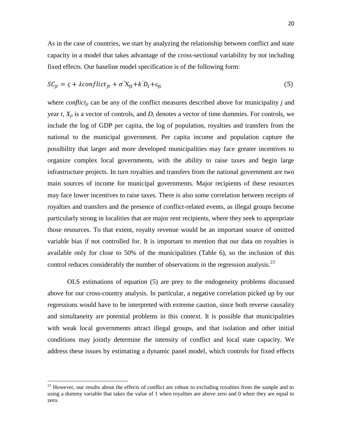As in the case of countries, we start by analyzing the relationship between conflict and state capacity in a model that takes advantage of the cross-sectional variability by not including fixed effects. Our baseline model specification is of the following form:

$$
SC_{it} = \varsigma + \lambda \text{conflict}_{it} + \sigma' X_{it} + k' D_t + \varepsilon_{it}
$$
\n
$$
\tag{5}
$$

where *conflict<sub>it</sub>* can be any of the conflict measures described above for municipality *j* and year  $t$ ,  $X_{it}$  is a vector of controls, and  $D_t$  denotes a vector of time dummies. For controls, we include the log of GDP per capita, the log of population, royalties and transfers from the national to the municipal government. Per capita income and population capture the possibility that larger and more developed municipalities may face greater incentives to organize complex local governments, with the ability to raise taxes and begin large infrastructure projects. In turn royalties and transfers from the national government are two main sources of income for municipal governments. Major recipients of these resources may face lower incentives to raise taxes. There is also some correlation between receipts of royalties and transfers and the presence of conflict-related events, as illegal groups become particularly strong in localities that are major rent recipients, where they seek to appropriate those resources. To that extent, royalty revenue would be an important source of omitted variable bias if not controlled for. It is important to mention that our data on royalties is available only for close to 50% of the municipalities (Table 6), so the inclusion of this control reduces considerably the number of observations in the regression analysis.<sup>23</sup>

OLS estimations of equation (5) are prey to the endogeneity problems discussed above for our cross-country analysis. In particular, a negative correlation picked up by our regressions would have to be interpreted with extreme caution, since both reverse causality and simultaneity are potential problems in this context. It is possible that municipalities with weak local governments attract illegal groups, and that isolation and other initial conditions may jointly determine the intensity of conflict and local state capacity. We address these issues by estimating a dynamic panel model, which controls for fixed effects

<sup>&</sup>lt;sup>23</sup> However, our results about the effects of conflict are robust to excluding royalties from the sample and to using a dummy variable that takes the value of 1 when royalties are above zero and 0 when they are equal to zero.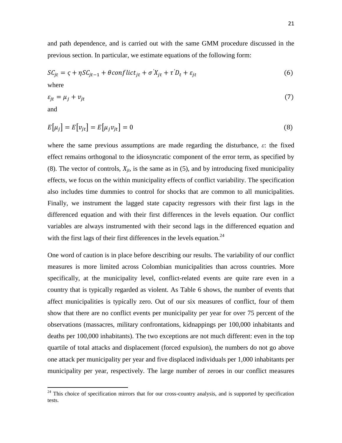and path dependence, and is carried out with the same GMM procedure discussed in the previous section. In particular, we estimate equations of the following form:

$$
SC_{jt} = \zeta + \eta SC_{jt-1} + \theta conflict_{jt} + \sigma' X_{jt} + \tau' D_t + \varepsilon_{jt}
$$
\n
$$
(6)
$$
\nwhere

$$
\varepsilon_{jt} = \mu_j + \nu_{jt} \tag{7}
$$

and

 $\overline{a}$ 

$$
E[\mu_j] = E[\nu_{jt}] = E[\mu_j \nu_{jt}] = 0 \tag{8}
$$

where the same previous assumptions are made regarding the disturbance, *ε*: the fixed effect remains orthogonal to the idiosyncratic component of the error term, as specified by (8). The vector of controls,  $X_{it}$ , is the same as in (5), and by introducing fixed municipality effects, we focus on the within municipality effects of conflict variability. The specification also includes time dummies to control for shocks that are common to all municipalities. Finally, we instrument the lagged state capacity regressors with their first lags in the differenced equation and with their first differences in the levels equation. Our conflict variables are always instrumented with their second lags in the differenced equation and with the first lags of their first differences in the levels equation.<sup>24</sup>

One word of caution is in place before describing our results. The variability of our conflict measures is more limited across Colombian municipalities than across countries. More specifically, at the municipality level, conflict-related events are quite rare even in a country that is typically regarded as violent. As Table 6 shows, the number of events that affect municipalities is typically zero. Out of our six measures of conflict, four of them show that there are no conflict events per municipality per year for over 75 percent of the observations (massacres, military confrontations, kidnappings per 100,000 inhabitants and deaths per 100,000 inhabitants). The two exceptions are not much different: even in the top quartile of total attacks and displacement (forced expulsion), the numbers do not go above one attack per municipality per year and five displaced individuals per 1,000 inhabitants per municipality per year, respectively. The large number of zeroes in our conflict measures

 $24$  This choice of specification mirrors that for our cross-country analysis, and is supported by specification tests.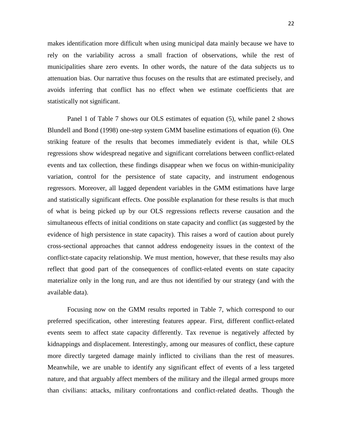makes identification more difficult when using municipal data mainly because we have to rely on the variability across a small fraction of observations, while the rest of municipalities share zero events. In other words, the nature of the data subjects us to attenuation bias. Our narrative thus focuses on the results that are estimated precisely, and avoids inferring that conflict has no effect when we estimate coefficients that are statistically not significant.

Panel 1 of Table 7 shows our OLS estimates of equation (5), while panel 2 shows Blundell and Bond (1998) one-step system GMM baseline estimations of equation (6). One striking feature of the results that becomes immediately evident is that, while OLS regressions show widespread negative and significant correlations between conflict-related events and tax collection, these findings disappear when we focus on within-municipality variation, control for the persistence of state capacity, and instrument endogenous regressors. Moreover, all lagged dependent variables in the GMM estimations have large and statistically significant effects. One possible explanation for these results is that much of what is being picked up by our OLS regressions reflects reverse causation and the simultaneous effects of initial conditions on state capacity and conflict (as suggested by the evidence of high persistence in state capacity). This raises a word of caution about purely cross-sectional approaches that cannot address endogeneity issues in the context of the conflict-state capacity relationship. We must mention, however, that these results may also reflect that good part of the consequences of conflict-related events on state capacity materialize only in the long run, and are thus not identified by our strategy (and with the available data).

Focusing now on the GMM results reported in Table 7, which correspond to our preferred specification, other interesting features appear. First, different conflict-related events seem to affect state capacity differently. Tax revenue is negatively affected by kidnappings and displacement. Interestingly, among our measures of conflict, these capture more directly targeted damage mainly inflicted to civilians than the rest of measures. Meanwhile, we are unable to identify any significant effect of events of a less targeted nature, and that arguably affect members of the military and the illegal armed groups more than civilians: attacks, military confrontations and conflict-related deaths. Though the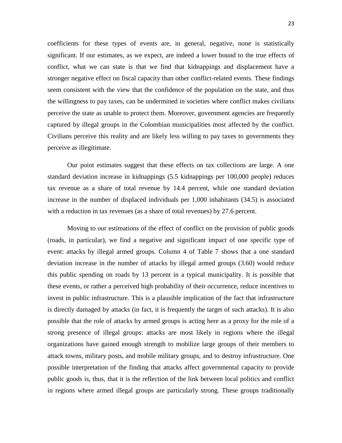coefficients for these types of events are, in general, negative, none is statistically significant. If our estimates, as we expect, are indeed a lower bound to the true effects of conflict, what we can state is that we find that kidnappings and displacement have a stronger negative effect on fiscal capacity than other conflict-related events. These findings seem consistent with the view that the confidence of the population on the state, and thus the willingness to pay taxes, can be undermined in societies where conflict makes civilians perceive the state as unable to protect them. Moreover, government agencies are frequently captured by illegal groups in the Colombian municipalities most affected by the conflict. Civilians perceive this reality and are likely less willing to pay taxes to governments they perceive as illegitimate.

Our point estimates suggest that these effects on tax collections are large. A one standard deviation increase in kidnappings (5.5 kidnappings per 100,000 people) reduces tax revenue as a share of total revenue by 14.4 percent, while one standard deviation increase in the number of displaced individuals per 1,000 inhabitants (34.5) is associated with a reduction in tax revenues (as a share of total revenues) by 27.6 percent.

Moving to our estimations of the effect of conflict on the provision of public goods (roads, in particular), we find a negative and significant impact of one specific type of event: attacks by illegal armed groups. Column 4 of Table 7 shows that a one standard deviation increase in the number of attacks by illegal armed groups (3.60) would reduce this public spending on roads by 13 percent in a typical municipality. It is possible that these events, or rather a perceived high probability of their occurrence, reduce incentives to invest in public infrastructure. This is a plausible implication of the fact that infrastructure is directly damaged by attacks (in fact, it is frequently the target of such attacks). It is also possible that the role of attacks by armed groups is acting here as a proxy for the role of a strong presence of illegal groups: attacks are most likely in regions where the illegal organizations have gained enough strength to mobilize large groups of their members to attack towns, military posts, and mobile military groups, and to destroy infrastructure. One possible interpretation of the finding that attacks affect governmental capacity to provide public goods is, thus, that it is the reflection of the link between local politics and conflict in regions where armed illegal groups are particularly strong. These groups traditionally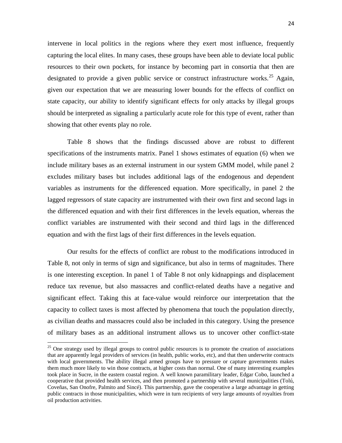intervene in local politics in the regions where they exert most influence, frequently capturing the local elites. In many cases, these groups have been able to deviate local public resources to their own pockets, for instance by becoming part in consortia that then are designated to provide a given public service or construct infrastructure works.<sup>25</sup> Again, given our expectation that we are measuring lower bounds for the effects of conflict on state capacity, our ability to identify significant effects for only attacks by illegal groups should be interpreted as signaling a particularly acute role for this type of event, rather than showing that other events play no role.

Table 8 shows that the findings discussed above are robust to different specifications of the instruments matrix. Panel 1 shows estimates of equation (6) when we include military bases as an external instrument in our system GMM model, while panel 2 excludes military bases but includes additional lags of the endogenous and dependent variables as instruments for the differenced equation. More specifically, in panel 2 the lagged regressors of state capacity are instrumented with their own first and second lags in the differenced equation and with their first differences in the levels equation, whereas the conflict variables are instrumented with their second and third lags in the differenced equation and with the first lags of their first differences in the levels equation.

Our results for the effects of conflict are robust to the modifications introduced in Table 8, not only in terms of sign and significance, but also in terms of magnitudes. There is one interesting exception. In panel 1 of Table 8 not only kidnappings and displacement reduce tax revenue, but also massacres and conflict-related deaths have a negative and significant effect. Taking this at face-value would reinforce our interpretation that the capacity to collect taxes is most affected by phenomena that touch the population directly, as civilian deaths and massacres could also be included in this category. Using the presence of military bases as an additional instrument allows us to uncover other conflict-state

<sup>&</sup>lt;sup>25</sup> One strategy used by illegal groups to control public resources is to promote the creation of associations that are apparently legal providers of services (in health, public works, etc), and that then underwrite contracts with local governments. The ability illegal armed groups have to pressure or capture governments makes them much more likely to win those contracts, at higher costs than normal. One of many interesting examples took place in Sucre, in the eastern coastal region. A well known paramilitary leader, Edgar Cobo, launched a cooperative that provided health services, and then promoted a partnership with several municipalities (Tolú, Coveñas, San Onofre, Palmito and Sincé). This partnership, gave the cooperative a large advantage in getting public contracts in those municipalities, which were in turn recipients of very large amounts of royalties from oil production activities.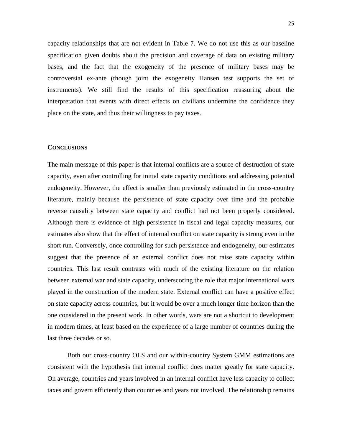capacity relationships that are not evident in Table 7. We do not use this as our baseline specification given doubts about the precision and coverage of data on existing military bases, and the fact that the exogeneity of the presence of military bases may be controversial ex-ante (though joint the exogeneity Hansen test supports the set of instruments). We still find the results of this specification reassuring about the interpretation that events with direct effects on civilians undermine the confidence they place on the state, and thus their willingness to pay taxes.

#### **CONCLUSIONS**

The main message of this paper is that internal conflicts are a source of destruction of state capacity, even after controlling for initial state capacity conditions and addressing potential endogeneity. However, the effect is smaller than previously estimated in the cross-country literature, mainly because the persistence of state capacity over time and the probable reverse causality between state capacity and conflict had not been properly considered. Although there is evidence of high persistence in fiscal and legal capacity measures, our estimates also show that the effect of internal conflict on state capacity is strong even in the short run. Conversely, once controlling for such persistence and endogeneity, our estimates suggest that the presence of an external conflict does not raise state capacity within countries. This last result contrasts with much of the existing literature on the relation between external war and state capacity, underscoring the role that major international wars played in the construction of the modern state. External conflict can have a positive effect on state capacity across countries, but it would be over a much longer time horizon than the one considered in the present work. In other words, wars are not a shortcut to development in modern times, at least based on the experience of a large number of countries during the last three decades or so.

Both our cross-country OLS and our within-country System GMM estimations are consistent with the hypothesis that internal conflict does matter greatly for state capacity. On average, countries and years involved in an internal conflict have less capacity to collect taxes and govern efficiently than countries and years not involved. The relationship remains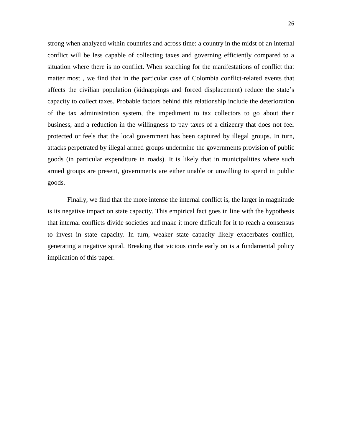strong when analyzed within countries and across time: a country in the midst of an internal conflict will be less capable of collecting taxes and governing efficiently compared to a situation where there is no conflict. When searching for the manifestations of conflict that matter most , we find that in the particular case of Colombia conflict-related events that affects the civilian population (kidnappings and forced displacement) reduce the state's capacity to collect taxes. Probable factors behind this relationship include the deterioration of the tax administration system, the impediment to tax collectors to go about their business, and a reduction in the willingness to pay taxes of a citizenry that does not feel protected or feels that the local government has been captured by illegal groups. In turn, attacks perpetrated by illegal armed groups undermine the governments provision of public goods (in particular expenditure in roads). It is likely that in municipalities where such armed groups are present, governments are either unable or unwilling to spend in public goods.

Finally, we find that the more intense the internal conflict is, the larger in magnitude is its negative impact on state capacity. This empirical fact goes in line with the hypothesis that internal conflicts divide societies and make it more difficult for it to reach a consensus to invest in state capacity. In turn, weaker state capacity likely exacerbates conflict, generating a negative spiral. Breaking that vicious circle early on is a fundamental policy implication of this paper.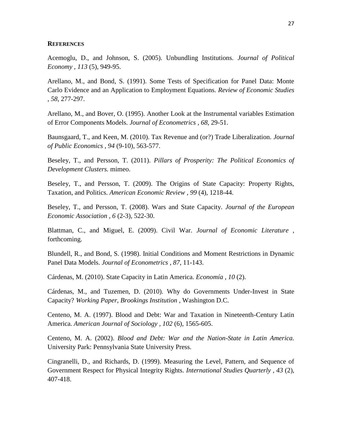### **REFERENCES**

Acemoglu, D., and Johnson, S. (2005). Unbundling Institutions. *Journal of Political Economy , 113* (5), 949-95.

Arellano, M., and Bond, S. (1991). Some Tests of Specification for Panel Data: Monte Carlo Evidence and an Application to Employment Equations. *Review of Economic Studies , 58*, 277-297.

Arellano, M., and Bover, O. (1995). Another Look at the Instrumental variables Estimation of Error Components Models. *Journal of Econometrics , 68*, 29-51.

Baunsgaard, T., and Keen, M. (2010). Tax Revenue and (or?) Trade Liberalization. *Journal of Public Economics , 94* (9-10), 563-577.

Beseley, T., and Persson, T. (2011). *Pillars of Prosperity: The Political Economics of Development Clusters.* mimeo.

Beseley, T., and Persson, T. (2009). The Origins of State Capacity: Property Rights, Taxation, and Politics. *American Economic Review , 99* (4), 1218-44.

Beseley, T., and Persson, T. (2008). Wars and State Capacity. *Journal of the European Economic Association , 6* (2-3), 522-30.

Blattman, C., and Miguel, E. (2009). Civil War. *Journal of Economic Literature* , forthcoming.

Blundell, R., and Bond, S. (1998). Initial Conditions and Moment Restrictions in Dynamic Panel Data Models. *Journal of Econometrics , 87*, 11-143.

Cárdenas, M. (2010). State Capacity in Latin America. *Economía , 10* (2).

Cárdenas, M., and Tuzemen, D. (2010). Why do Governments Under-Invest in State Capacity? *Working Paper, Brookings Institution* , Washington D.C.

Centeno, M. A. (1997). Blood and Debt: War and Taxation in Nineteenth-Century Latin America. *American Journal of Sociology , 102* (6), 1565-605.

Centeno, M. A. (2002). *Blood and Debt: War and the Nation-State in Latin America.* University Park: Pennsylvania State University Press.

Cingranelli, D., and Richards, D. (1999). Measuring the Level, Pattern, and Sequence of Government Respect for Physical Integrity Rights. *International Studies Quarterly , 43* (2), 407-418.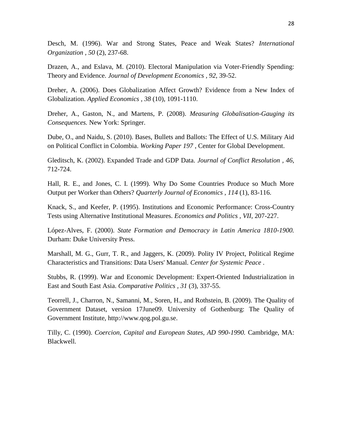Desch, M. (1996). War and Strong States, Peace and Weak States? *International Organization , 50* (2), 237-68.

Drazen, A., and Eslava, M. (2010). Electoral Manipulation via Voter-Friendly Spending: Theory and Evidence. *Journal of Development Economics , 92*, 39-52.

Dreher, A. (2006). Does Globalization Affect Growth? Evidence from a New Index of Globalization. *Applied Economics , 38* (10), 1091-1110.

Dreher, A., Gaston, N., and Martens, P. (2008). *Measuring Globalisation-Gauging its Consequences.* New York: Springer.

Dube, O., and Naidu, S. (2010). Bases, Bullets and Ballots: The Effect of U.S. Military Aid on Political Conflict in Colombia. *Working Paper 197* , Center for Global Development.

Gleditsch, K. (2002). Expanded Trade and GDP Data. *Journal of Conflict Resolution , 46*, 712-724.

Hall, R. E., and Jones, C. I. (1999). Why Do Some Countries Produce so Much More Output per Worker than Others? *Quarterly Journal of Economics , 114* (1), 83-116.

Knack, S., and Keefer, P. (1995). Institutions and Economic Performance: Cross-Country Tests using Alternative Institutional Measures. *Economics and Politics , VII*, 207-227.

López-Alves, F. (2000). *State Formation and Democracy in Latin America 1810-1900.* Durham: Duke University Press.

Marshall, M. G., Gurr, T. R., and Jaggers, K. (2009). Polity IV Project, Political Regime Characteristics and Transitions: Data Users' Manual. *Center for Systemic Peace* .

Stubbs, R. (1999). War and Economic Development: Expert-Oriented Industrialization in East and South East Asia. *Comparative Politics , 31* (3), 337-55.

Teorrell, J., Charron, N., Samanni, M., Soren, H., and Rothstein, B. (2009). The Quality of Government Dataset, version 17June09. University of Gothenburg: The Quality of Government Institute, http://www.qog.pol.gu.se.

Tilly, C. (1990). *Coercion, Capital and European States, AD 990-1990.* Cambridge, MA: Blackwell.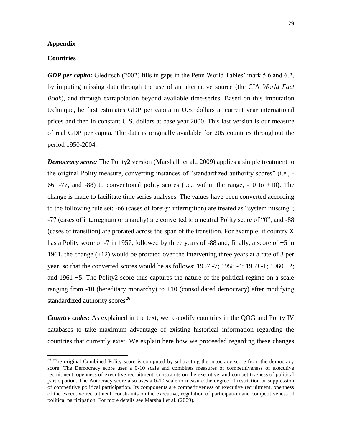#### **Appendix**

### **Countries**

 $\overline{a}$ 

*GDP per capita:* Gleditsch (2002) fills in gaps in the Penn World Tables' mark 5.6 and 6.2, by imputing missing data through the use of an alternative source (the CIA *World Fact Book*), and through extrapolation beyond available time-series. Based on this imputation technique, he first estimates GDP per capita in U.S. dollars at current year international prices and then in constant U.S. dollars at base year 2000. This last version is our measure of real GDP per capita. The data is originally available for 205 countries throughout the period 1950-2004.

*Democracy score:* The Polity2 version (Marshall et al., 2009) applies a simple treatment to the original Polity measure, converting instances of "standardized authority scores" (i.e.,  $-$ 66,  $-77$ , and  $-88$ ) to conventional polity scores (i.e., within the range,  $-10$  to  $+10$ ). The change is made to facilitate time series analyses. The values have been converted according to the following rule set: -66 (cases of foreign interruption) are treated as "system missing";  $-77$  (cases of interregnum or anarchy) are converted to a neutral Polity score of "0"; and  $-88$ (cases of transition) are prorated across the span of the transition. For example, if country X has a Polity score of -7 in 1957, followed by three years of -88 and, finally, a score of +5 in 1961, the change (+12) would be prorated over the intervening three years at a rate of 3 per year, so that the converted scores would be as follows: 1957 -7; 1958 -4; 1959 -1; 1960 +2; and 1961 +5. The Polity2 score thus captures the nature of the political regime on a scale ranging from  $-10$  (hereditary monarchy) to  $+10$  (consolidated democracy) after modifying standardized authority scores<sup>26</sup>.

*Country codes:* As explained in the text, we re-codify countries in the QOG and Polity IV databases to take maximum advantage of existing historical information regarding the countries that currently exist. We explain here how we proceeded regarding these changes

 $26$  The original Combined Polity score is computed by subtracting the autocracy score from the democracy score. The Democracy score uses a 0-10 scale and combines measures of competitiveness of executive recruitment, openness of executive recruitment, constraints on the executive, and competitiveness of political participation. The Autocracy score also uses a 0-10 scale to measure the degree of restriction or suppression of competitive political participation. Its components are competitiveness of executive recruitment, openness of the executive recruitment, constraints on the executive, regulation of participation and competitiveness of political participation. For more details see Marshall et al. (2009).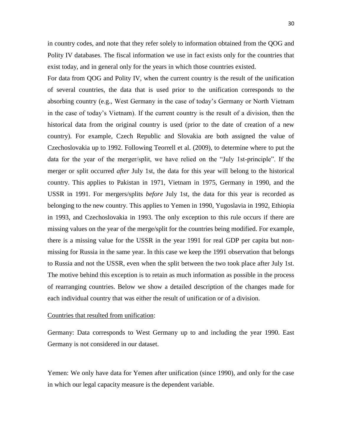in country codes, and note that they refer solely to information obtained from the QOG and Polity IV databases. The fiscal information we use in fact exists only for the countries that exist today, and in general only for the years in which those countries existed.

For data from QOG and Polity IV, when the current country is the result of the unification of several countries, the data that is used prior to the unification corresponds to the absorbing country (e.g., West Germany in the case of today's Germany or North Vietnam in the case of today's Vietnam). If the current country is the result of a division, then the historical data from the original country is used (prior to the date of creation of a new country). For example, Czech Republic and Slovakia are both assigned the value of Czechoslovakia up to 1992. Following Teorrell et al. (2009), to determine where to put the data for the year of the merger/split, we have relied on the "July 1st-principle". If the merger or split occurred *after* July 1st, the data for this year will belong to the historical country. This applies to Pakistan in 1971, Vietnam in 1975, Germany in 1990, and the USSR in 1991. For mergers/splits *before* July 1st, the data for this year is recorded as belonging to the new country. This applies to Yemen in 1990, Yugoslavia in 1992, Ethiopia in 1993, and Czechoslovakia in 1993. The only exception to this rule occurs if there are missing values on the year of the merge/split for the countries being modified. For example, there is a missing value for the USSR in the year 1991 for real GDP per capita but nonmissing for Russia in the same year. In this case we keep the 1991 observation that belongs to Russia and not the USSR, even when the split between the two took place after July 1st. The motive behind this exception is to retain as much information as possible in the process of rearranging countries. Below we show a detailed description of the changes made for each individual country that was either the result of unification or of a division.

#### Countries that resulted from unification:

Germany: Data corresponds to West Germany up to and including the year 1990. East Germany is not considered in our dataset.

Yemen: We only have data for Yemen after unification (since 1990), and only for the case in which our legal capacity measure is the dependent variable.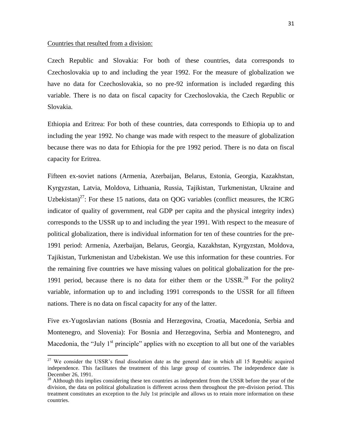#### Countries that resulted from a division:

 $\overline{a}$ 

Czech Republic and Slovakia: For both of these countries, data corresponds to Czechoslovakia up to and including the year 1992. For the measure of globalization we have no data for Czechoslovakia, so no pre-92 information is included regarding this variable. There is no data on fiscal capacity for Czechoslovakia, the Czech Republic or Slovakia.

Ethiopia and Eritrea: For both of these countries, data corresponds to Ethiopia up to and including the year 1992. No change was made with respect to the measure of globalization because there was no data for Ethiopia for the pre 1992 period. There is no data on fiscal capacity for Eritrea.

Fifteen ex-soviet nations (Armenia, Azerbaijan, Belarus, Estonia, Georgia, Kazakhstan, Kyrgyzstan, Latvia, Moldova, Lithuania, Russia, Tajikistan, Turkmenistan, Ukraine and Uzbekistan)<sup>27</sup>: For these 15 nations, data on QOG variables (conflict measures, the ICRG indicator of quality of government, real GDP per capita and the physical integrity index) corresponds to the USSR up to and including the year 1991. With respect to the measure of political globalization, there is individual information for ten of these countries for the pre-1991 period: Armenia, Azerbaijan, Belarus, Georgia, Kazakhstan, Kyrgyzstan, Moldova, Tajikistan, Turkmenistan and Uzbekistan. We use this information for these countries. For the remaining five countries we have missing values on political globalization for the pre-1991 period, because there is no data for either them or the USSR.<sup>28</sup> For the polity2 variable, information up to and including 1991 corresponds to the USSR for all fifteen nations. There is no data on fiscal capacity for any of the latter.

Five ex-Yugoslavian nations (Bosnia and Herzegovina, Croatia, Macedonia, Serbia and Montenegro, and Slovenia): For Bosnia and Herzegovina, Serbia and Montenegro, and Macedonia, the "July  $1<sup>st</sup>$  principle" applies with no exception to all but one of the variables

 $27$  We consider the USSR's final dissolution date as the general date in which all 15 Republic acquired independence. This facilitates the treatment of this large group of countries. The independence date is December 26, 1991.

<sup>&</sup>lt;sup>28</sup> Although this implies considering these ten countries as independent from the USSR before the year of the division, the data on political globalization is different across them throughout the pre-division period. This treatment constitutes an exception to the July 1st principle and allows us to retain more information on these countries.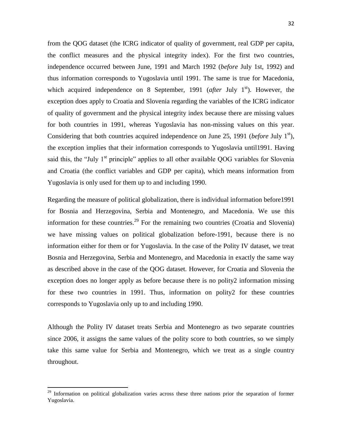from the QOG dataset (the ICRG indicator of quality of government, real GDP per capita, the conflict measures and the physical integrity index). For the first two countries, independence occurred between June, 1991 and March 1992 (*before* July 1st, 1992) and thus information corresponds to Yugoslavia until 1991. The same is true for Macedonia, which acquired independence on 8 September, 1991 (*after July 1<sup>st</sup>*). However, the exception does apply to Croatia and Slovenia regarding the variables of the ICRG indicator of quality of government and the physical integrity index because there are missing values for both countries in 1991, whereas Yugoslavia has non-missing values on this year. Considering that both countries acquired independence on June 25, 1991 (*before* July 1<sup>st</sup>), the exception implies that their information corresponds to Yugoslavia until1991. Having said this, the "July  $1<sup>st</sup>$  principle" applies to all other available QOG variables for Slovenia and Croatia (the conflict variables and GDP per capita), which means information from Yugoslavia is only used for them up to and including 1990.

Regarding the measure of political globalization, there is individual information before1991 for Bosnia and Herzegovina, Serbia and Montenegro, and Macedonia. We use this information for these countries.<sup>29</sup> For the remaining two countries (Croatia and Slovenia) we have missing values on political globalization before-1991, because there is no information either for them or for Yugoslavia. In the case of the Polity IV dataset, we treat Bosnia and Herzegovina, Serbia and Montenegro, and Macedonia in exactly the same way as described above in the case of the QOG dataset. However, for Croatia and Slovenia the exception does no longer apply as before because there is no polity2 information missing for these two countries in 1991. Thus, information on polity2 for these countries corresponds to Yugoslavia only up to and including 1990.

Although the Polity IV dataset treats Serbia and Montenegro as two separate countries since 2006, it assigns the same values of the polity score to both countries, so we simply take this same value for Serbia and Montenegro, which we treat as a single country throughout.

<sup>&</sup>lt;sup>29</sup> Information on political globalization varies across these three nations prior the separation of former Yugoslavia.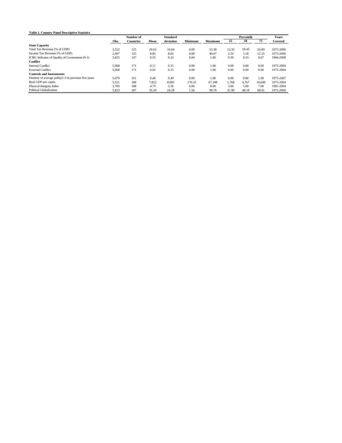| <b>Table 1. Country Panel Descriptive Statistics</b> |       |                  |                 |           |         |                |            |       |        |              |
|------------------------------------------------------|-------|------------------|-----------------|-----------|---------|----------------|------------|-------|--------|--------------|
|                                                      |       | Number of        | <b>Standard</b> |           |         |                | Percentile |       |        | <b>Years</b> |
|                                                      | Obs.  | <b>Countries</b> | Mean            | deviation | Minimum | <b>Maximum</b> | 25         | 50    | 75     | Covered      |
| <b>State Capacity</b>                                |       |                  |                 |           |         |                |            |       |        |              |
| Total Tax Revenue (% of GDP)                         | 3,552 | 125              | 20.62           | 10.64     | 0.09    | 53.38          | 12.35      | 18.43 | 26.89  | 1975-2006    |
| Income Tax Revenue (% of GDP)                        | 2,997 | 125              | 8.85            | 8.82      | 0.00    | 40.07          | 2.50       | 5.18  | 12.25  | 1975-2000    |
| ICRG Indicator of Quality of Government (0-1)        | 3,425 | 147              | 0.55            | 0.23      | 0.04    | 1.00           | 0.39       | 0.53  | 0.67   | 1984-2008    |
| Conflict                                             |       |                  |                 |           |         |                |            |       |        |              |
| <b>Internal Conflict</b>                             | 5,068 | 171              | 0.11            | 0.31      | 0.00    | 1.00           | 0.00       | 0.00  | 0.00   | 1975-2004    |
| <b>External Conflict</b>                             | 5,068 | 171              | 0.02            | 0.15      | 0.00    | 1.00           | 0.00       | 0.00  | 0.00   | 1975-2004    |
| <b>Controls and Instruments</b>                      |       |                  |                 |           |         |                |            |       |        |              |
| Dummy of average polity2>3 in previous five years    | 5.079 | 161              | 0.40            | 0.49      | 0.00    | 1.00           | 0.00       | 0.00  | 1.00   | 1975-2007    |
| Real GDP per capita                                  | 5,521 | 188              | 7.822           | 8,085     | 170.55  | 67.188         | 1,768      | 4.767 | 10.600 | 1975-2004    |
| Physical Integrity Index                             | 3,783 | 188              | 4.79            | 2.36      | 0.00    | 8.00           | 3.00       | 5.00  | 7.00   | 1981-2004    |
| <b>Political Globalization</b>                       | 5.823 | 187              | 50.20           | 24.28     | 1.56    | 98.78          | 31.90      | 48.18 | 68.81  | 1975-2006    |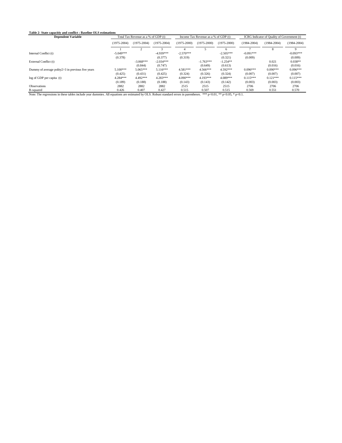#### **Table 2- State capacitiy and conflict : Baseline OLS estimations**

| <b>Dependent Variable</b>                                                                                                                                                          | Total Tax Revenue as a % of GDP (t) |                 |                 | Income Tax Revenue as a % of GDP (t) |                 |                 | ICRG Indicator of Quality of Government (t) |                 |                 |  |
|------------------------------------------------------------------------------------------------------------------------------------------------------------------------------------|-------------------------------------|-----------------|-----------------|--------------------------------------|-----------------|-----------------|---------------------------------------------|-----------------|-----------------|--|
|                                                                                                                                                                                    | $(1975 - 2004)$                     | $(1975 - 2004)$ | $(1975 - 2004)$ | $(1975 - 2000)$                      | $(1975 - 2000)$ | $(1975 - 2000)$ | $(1984 - 2004)$                             | $(1984 - 2004)$ | $(1984 - 2004)$ |  |
|                                                                                                                                                                                    |                                     |                 |                 |                                      |                 |                 |                                             | 8               | 9               |  |
| Internal Conflict (t)                                                                                                                                                              | $-5.049***$                         |                 | $-4.939***$     | $-2.570***$                          |                 | $-2.505***$     | $-0.091***$                                 |                 | $-0.093***$     |  |
|                                                                                                                                                                                    | (0.378)                             |                 | (0.377)         | (0.319)                              |                 | (0.321)         | (0.009)                                     |                 | (0.009)         |  |
| External Conflict (t)                                                                                                                                                              |                                     | $-3.068***$     | $-2.034***$     |                                      | $-1.763***$     | $-1.254**$      |                                             | 0.021           | $0.038**$       |  |
|                                                                                                                                                                                    |                                     | (0.844)         | (0.747)         |                                      | (0.649)         | (0.613)         |                                             | (0.016)         | (0.016)         |  |
| Dummy of average polity2>3 in previous five years                                                                                                                                  | $5.100***$                          | $5.065***$      | $5.116***$      | 4.581***                             | 4.566***        | 4.592***        | $0.096***$                                  | $0.090***$      | $0.096***$      |  |
|                                                                                                                                                                                    | (0.425)                             | (0.431)         | (0.425)         | (0.324)                              | (0.326)         | (0.324)         | (0.007)                                     | (0.007)         | (0.007)         |  |
| $log of GDP$ per capita $(t)$                                                                                                                                                      | 4.284***                            | 4.492***        | 4.283***        | 4.090***                             | 4.193***        | 4.089***        | $0.115***$                                  | $0.121***$      | $0.115***$      |  |
|                                                                                                                                                                                    | (0.189)                             | (0.188)         | (0.188)         | (0.143)                              | (0.143)         | (0.142)         | (0.003)                                     | (0.003)         | (0.003)         |  |
| <b>Observations</b>                                                                                                                                                                | 2882                                | 2882            | 2882            | 2515                                 | 2515            | 2515            | 2706                                        | 2706            | 2706            |  |
| R-squared                                                                                                                                                                          | 0.426                               | 0.407           | 0.427           | 0.515                                | 0.507           | 0.515           | 0.569                                       | 0.551           | 0.570           |  |
| Note: The regressions in these tables include year dummies. All equations are estimated by OLS. Robust standard errors in parentheses.<br>*** $p<0.01$ , ** $p<0.05$ , * $p<0.1$ . |                                     |                 |                 |                                      |                 |                 |                                             |                 |                 |  |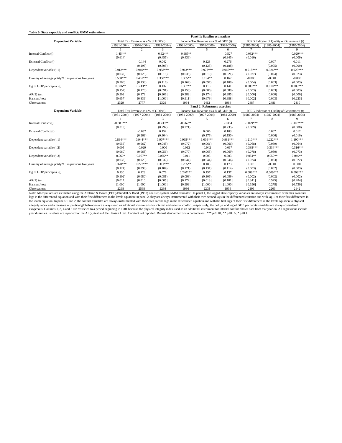#### **Table 3- State capacitiy and conflict: GMM estimations**

|                                                   | <b>Panel 1: Baseline estimations</b> |                                     |                 |                                      |                                      |                                             |                 |                                             |                 |
|---------------------------------------------------|--------------------------------------|-------------------------------------|-----------------|--------------------------------------|--------------------------------------|---------------------------------------------|-----------------|---------------------------------------------|-----------------|
| <b>Dependent Variable</b>                         | Total Tax Revenue as a % of GDP (t)  |                                     |                 | Income Tax Revenue as a % of GDP (t) |                                      | ICRG Indicator of Quality of Government (t) |                 |                                             |                 |
|                                                   | $(1981 - 2004)$                      | $(1976 - 2004)$                     | $(1981 - 2004)$ | $(1981 - 2000)$                      | $(1976 - 2000)$                      | $(1981 - 2000)$                             | $(1985 - 2004)$ | $(1985 - 2004)$                             | $(1985 - 2004)$ |
|                                                   |                                      | 2                                   | 3               | $\overline{4}$                       | 5                                    | 6                                           | $\tau$          | 8                                           | 9               |
| Internal Conflict (t)                             | $-1.454**$                           |                                     | $-0.924**$      | $-0.985**$                           |                                      | $-0.527$                                    | $-0.032***$     |                                             | $-0.029***$     |
|                                                   | (0.614)                              |                                     | (0.455)         | (0.436)                              |                                      | (0.345)                                     | (0.010)         |                                             | (0.009)         |
| External Conflict (t)                             |                                      | $-0.144$                            | 0.042           |                                      | 0.128                                | 0.276                                       |                 | 0.007                                       | 0.011           |
|                                                   |                                      | (0.293)                             | (0.305)         |                                      | (0.128)                              | (0.188)                                     |                 | (0.005)                                     | (0.009)         |
| Dependent variable (t-1)                          | $0.912***$                           | $0.940***$                          | $0.958***$      | $0.913***$                           | $0.973***$                           | $0.966***$                                  | $0.918***$      | $0.924***$                                  | $0.923***$      |
|                                                   | (0.032)                              | (0.023)                             | (0.019)         | (0.035)                              | (0.019)                              | (0.021)                                     | (0.027)         | (0.024)                                     | (0.023)         |
| Dummy of average polity2>3 in previous five years | $0.550***$                           | $0.461***$                          | $0.358***$      | $0.355**$                            | $0.194**$                            | 0.167                                       | $-0.000$        | $-0.001$                                    | $-0.000$        |
|                                                   | (0.206)                              | (0.133)                             | (0.116)         | (0.164)                              | (0.097)                              | (0.108)                                     | (0.004)         | (0.003)                                     | (0.003)         |
| log of GDP per capita (t)                         | $0.336**$                            | $0.243**$                           | 0.137           | $0.357**$                            | 0.118                                | 0.141                                       | $0.009***$      | $0.010***$                                  | $0.009***$      |
|                                                   | (0.157)                              | (0.123)                             | (0.091)         | (0.158)                              | (0.086)                              | (0.088)                                     | (0.003)         | (0.003)                                     | (0.003)         |
| $AR(2)$ test                                      | [0.202]                              | [0.178]                             | [0.206]         | [0.282]                              | [0.174]                              | [0.285]                                     | [0.000]         | [0.000]                                     | [0.000]         |
| Hansen J test                                     | [0.657]                              | [0.836]                             | [1.000]         | [0.911]                              | [0.679]                              | [0.988]                                     | [0.002]         | [0.003]                                     | [0.223]         |
| Observations                                      | 2329                                 | 2777                                | 2329            | 1964                                 | 2412                                 | 1964                                        | 2487            | 2481                                        | 2410            |
|                                                   |                                      |                                     |                 |                                      | <b>Panel 2: Robustness exercises</b> |                                             |                 |                                             |                 |
| <b>Dependent Variable</b>                         |                                      | Total Tax Revenue as a % of GDP (t) |                 |                                      | Income Tax Revenue as a % of GDP (t) |                                             |                 | ICRG Indicator of Quality of Government (t) |                 |
|                                                   | $(1981 - 2004)$                      | $(1977 - 2004)$                     | $(1981 - 2004)$ | $(1981 - 2000)$                      | $(1977-2004)$                        | $(1981 - 2000)$                             | $(1987 - 2004)$ | $(1987 - 2004)$                             | $(1987 - 2004)$ |
|                                                   |                                      | 2                                   | 3               | 4                                    | 5                                    | 6                                           | 7               | 8                                           | 9               |
| Internal Conflict (t)                             | $-0.883***$                          |                                     | $-0.739**$      | $-0.562**$                           |                                      | $-0.354$                                    | $-0.029***$     |                                             | $-0.027***$     |
|                                                   | (0.319)                              |                                     | (0.292)         | (0.271)                              |                                      | (0.235)                                     | (0.009)         |                                             | (0.008)         |
| External Conflict (t)                             |                                      | $-0.032$                            | 0.152           |                                      | 0.006                                | 0.103                                       |                 | 0.007                                       | 0.012           |
|                                                   |                                      | (0.269)                             | (0.304)         |                                      | (0.176)                              | (0.150)                                     |                 | (0.006)                                     | (0.010)         |
| Dependent variable (t-1)                          | $0.894***$                           | $0.944***$                          | $0.907***$      | $0.965***$                           | $1.006***$                           | $0.981***$                                  | $1.210***$      | $1.222***$                                  | 1.190***        |
|                                                   | (0.056)                              | (0.062)                             | (0.048)         | (0.072)                              | (0.061)                              | (0.066)                                     | (0.068)         | (0.069)                                     | (0.064)         |
| Dependent variable (t-2)                          | 0.005                                | $-0.029$                            | $-0.000$        | $-0.012$                             | $-0.042$                             | $-0.017$                                    | $-0.338***$     | $-0.334***$                                 | $-0.316***$     |
|                                                   | (0.060)                              | (0.068)                             | (0.056)         | (0.070)                              | (0.068)                              | (0.069)                                     | (0.078)         | (0.080)                                     | (0.073)         |
| Dependent variable (t-3)                          | $0.060*$                             | $0.057**$                           | $0.065**$       | $-0.011$                             | 0.003                                | 0.003                                       | $0.051**$       | $0.050**$                                   | $0.049**$       |
|                                                   | (0.032)                              | (0.029)                             | (0.032)         | (0.044)                              | (0.044)                              | (0.046)                                     | (0.024)         | (0.023)                                     | (0.022)         |
| Dummy of average polity2>3 in previous five years | $0.370***$                           | $0.277***$                          | $0.311***$      | $0.265**$                            | 0.183                                | 0.173                                       | 0.001           | $-0.001$                                    | 0.000           |
|                                                   | (0.124)                              | (0.099)                             | (0.104)         | (0.121)                              | (0.131)                              | (0.114)                                     | (0.003)         | (0.002)                                     | (0.003)         |
| log of GDP per capita (t)                         | 0.130                                | 0.123                               | 0.076           | $0.240***$                           | 0.157                                | 0.137                                       | $0.009***$      | $0.009***$                                  | $0.009***$      |
|                                                   | (0.102)                              | (0.080)                             | (0.081)         | (0.093)                              | (0.106)                              | (0.089)                                     | (0.002)         | (0.002)                                     | (0.002)         |
| $AR(2)$ test                                      | [0.017]                              | [0.010]                             | [0.005]         | [0.172]                              | [0.013]                              | [0.101]                                     | [0.341]         | [0.525]                                     | [0.284]         |
| Hansen J test                                     | [1.000]                              | [1.000]                             | [1.000]         | [0.999]                              | [1.000]                              | [1.000]                                     | [0.196]         | [0.278]                                     | [0.730]         |
| $\sim$ $\sim$                                     | 0.000                                | $20 - 20$                           | 0.000           | $\cdots$                             | $\sim \sim \sim$                     | 100 <sup>2</sup>                            | $\sim$          |                                             | $\sim$ $\sim$   |

Observations 2298 2568 2298 1936 2205 1936 2199 2203 2142 Note: All equations are estimated using the Arellano & Bover (1995)/Blundell & Bond (1998) one step system GMM estimator. In panel 1, the lagged state capacity variables are always instrumented with their own first lags in the differenced equation and with their first differences in the levels equation; in panel 2, they are always instrumented with their own second lags in the differenced equation and with lag 1 of their first differences in the levels equation. In panels 1 and 2, the conflict variables are always instrumented with their own second lags in the differenced equation and with the first lags of their first differences in the levels equation; a physical integrity index and a measure of political globalization are always used as additional instruments for internal and external conflict, respectively; the polity2 and log of GDP per capita variables are always considered exogenous. Columns 1, 3, 4 and 6 are restricted to a period beginning in 1981 because the physical integrity index used as an additional instrument for internal conflict shows data from that year on. All regressions includ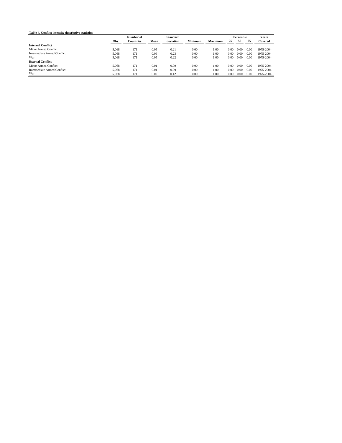|                             |       |                  | <b>Standard</b> |           |                |                | Percentile | <b>Years</b> |      |           |
|-----------------------------|-------|------------------|-----------------|-----------|----------------|----------------|------------|--------------|------|-----------|
|                             | Obs.  | <b>Countries</b> | Mean            | deviation | <b>Minimum</b> | <b>Maximum</b> | 25         | 50           | 75   | Covered   |
| <b>Internal Conflict</b>    |       |                  |                 |           |                |                |            |              |      |           |
| Minor Armed Conflict        | 5.068 | 171              | 0.05            | 0.21      | 0.00           | 1.00           | 0.00       | 0.00         | 0.00 | 1975-2004 |
| Intermediate Armed Conflict | 5.068 | 171              | 0.06            | 0.23      | 0.00           | 1.00           | 0.00       | 0.00         | 0.00 | 1975-2004 |
| War                         | 5.068 | 171              | 0.05            | 0.22      | 0.00           | 1.00           | 0.00       | 0.00         | 0.00 | 1975-2004 |
| <b>Exernal Conflict</b>     |       |                  |                 |           |                |                |            |              |      |           |
| Minor Armed Conflict        | 5.068 | 171              | 0.01            | 0.09      | 0.00           | 1.00           | 0.00       | 0.00         | 0.00 | 1975-2004 |
| Intermediate Armed Conflict | 5.068 | 171              | 0.01            | 0.09      | 0.00           | 1.00           | 0.00       | 0.00         | 0.00 | 1975-2004 |
| War                         | 5.068 | 171              | 0.02            | 0.12      | 0.00           | 1.00           | 0.00       | 0.00         | 0.00 | 1975-2004 |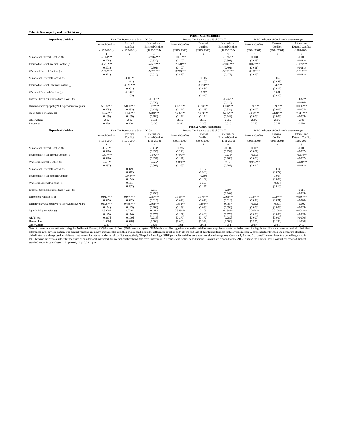| Table 5- State capacitiy and conflict intensity   |                          |                                     |                                          |                          | Panel 1: OLS estimations                 |                                          |                          |                                             |                                          |
|---------------------------------------------------|--------------------------|-------------------------------------|------------------------------------------|--------------------------|------------------------------------------|------------------------------------------|--------------------------|---------------------------------------------|------------------------------------------|
| <b>Dependent Variable</b>                         |                          | Total Tax Revenue as a % of GDP (t) |                                          |                          | Income Tax Revenue as a % of GDP (t)     |                                          |                          | ICRG Indicator of Quality of Government (t) |                                          |
|                                                   | <b>Internal Conflict</b> | External<br>Conflict                | Internal and<br><b>External Conflict</b> | <b>Internal Conflict</b> | External<br>Conflict                     | Internal and<br><b>External Conflict</b> | <b>Internal Conflict</b> | External<br>Conflict                        | Internal and<br><b>External Conflict</b> |
|                                                   | $(1975 - 2004)$          | $(1975 - 2004)$                     | $(1975 - 2004)$                          | $(1975 - 2000)$          | $(1975 - 2000)$                          | $(1975 - 2000)$                          | $(1984 - 2004)$          | $(1984 - 2004)$                             | $(1984 - 2004)$                          |
|                                                   |                          | $\gamma$                            | 3                                        | Δ                        | $\overline{\phantom{0}}$                 | 6                                        |                          | $\mathbf{\hat{x}}$                          | 9                                        |
| Minor-level Internal Conflict (t)                 | $-2.961***$              |                                     | $-2.914***$                              | $-1.031***$              |                                          | $-0.997**$                               | $-0.008$                 |                                             | $-0.009$                                 |
|                                                   | (0.528)                  |                                     | (0.532)                                  | (0.390)                  |                                          | (0.391)                                  | (0.013)                  |                                             | (0.013)                                  |
| Intermediate-level Internal Conflict (t)          | $-4.776***$              |                                     | $-4.669***$                              | $-2.120***$              |                                          | $-2.040***$                              | $-0.077***$              |                                             | $-0.079***$                              |
|                                                   | (0.501)                  |                                     | (0.501)                                  | (0.400)                  |                                          | (0.401)                                  | (0.011)                  |                                             | (0.011)                                  |
| War-level Internal Conflict (t)                   | $-5.835***$              |                                     | $-5.731***$                              | $-3.273***$              |                                          | $-3.223***$                              | $-0.112***$              |                                             | $-0.113***$                              |
|                                                   | (0.521)                  | $-3.111**$                          | (0.516)                                  | (0.478)                  |                                          | (0.477)                                  | (0.013)                  |                                             | (0.012)                                  |
| Minor-level External Conflict (t)                 |                          | (1.361)                             |                                          |                          | $-0.665$<br>(1.109)                      |                                          |                          | 0.062<br>(0.048)                            |                                          |
| Intermediate-level External Conflict (t)          |                          | $-4.396***$                         |                                          |                          | $-3.193***$                              |                                          |                          | $0.049***$                                  |                                          |
|                                                   |                          | (0.991)                             |                                          |                          | (0.684)                                  |                                          |                          | (0.017)                                     |                                          |
| War-level External Conflict (t)                   |                          | $-2.142*$                           |                                          |                          | $-0.882$                                 |                                          |                          | 0.001                                       |                                          |
|                                                   |                          | (1.253)                             |                                          |                          | (0.945)                                  |                                          |                          | (0.025)                                     |                                          |
| External Conflict (Intermediate + War) (t)        |                          |                                     | $-1.908**$                               |                          |                                          | $-1.237**$                               |                          |                                             | $0.037**$                                |
|                                                   |                          |                                     | (0.756)                                  |                          |                                          | (0.616)                                  |                          |                                             | (0.016)                                  |
| Dummy of average polity2>3 in previous five years | 5.158***                 | $5.080***$                          | $5.172***$                               | $4.629***$               | 4.594***                                 | 4.639***                                 | $0.096***$               | $0.090***$                                  | $0.096***$                               |
|                                                   | (0.425)                  | (0.432)                             | (0.425)                                  | (0.324)                  | (0.328)                                  | (0.324)                                  | (0.007)                  | (0.007)                                     | (0.007)                                  |
| log of GDP per capita (t)                         | 4.182***                 | $4.466***$                          | 4.183***                                 | $4.046***$               | 4.171***                                 | $4.045***$                               | $0.114***$               | $0.121***$                                  | $0.114***$                               |
|                                                   | (0.189)                  | (0.189)                             | (0.188)                                  | (0.142)                  | (0.144)                                  | (0.142)                                  | (0.003)                  | (0.003)                                     | (0.003)                                  |
| Observations                                      | 2882                     | 2882                                | 2882                                     | 2515                     | 2515                                     | 2515                                     | 2706                     | 2706                                        | 2706                                     |
| R-squared                                         | 0.429                    | 0.408                               | 0.430                                    | 0.516                    | 0.508<br><b>Panel 2: GMM estimations</b> | 0.516                                    | 0.570                    | 0.552                                       | 0.570                                    |
| <b>Dependent Variable</b>                         |                          | Total Tax Revenue as a % of GDP (t) |                                          |                          | Income Tax Revenue as a % of GDP (t)     |                                          |                          | ICRG Indicator of Quality of Government (t) |                                          |
|                                                   |                          | External                            | Internal and                             |                          | External                                 | Internal and                             |                          | External                                    | Internal and                             |
|                                                   | <b>Internal Conflict</b> | Conflict                            | <b>External Conflict</b>                 | <b>Internal Conflict</b> | Conflict                                 | <b>External Conflict</b>                 | <b>Internal Conflict</b> | Conflict                                    | <b>External Conflict</b>                 |
|                                                   | $(1981 - 2004)$          | $(1976 - 2004)$                     | $(1981 - 2004)$                          | $(1981 - 2000)$          | $(1976 - 2000)$                          | $(1981 - 2000)$                          | $(1985 - 2004)$          | $(1985 - 2004)$                             | $(1985 - 2004)$                          |
|                                                   |                          | $\overline{2}$                      | 3                                        | $\Delta$                 | 5                                        | 6                                        | $\tau$                   | 8                                           | 9                                        |
| Minor-level Internal Conflict (t)                 | $-0.821**$               |                                     | $-0.414*$                                | $-0.355$                 |                                          | $-0.116$                                 | $-0.007$                 |                                             | $-0.009$                                 |
|                                                   | (0.329)<br>$-0.837***$   |                                     | (0.235)<br>$-0.602**$                    | (0.220)<br>$-0.473**$    |                                          | (0.152)                                  | (0.007)                  |                                             | (0.007)<br>$-0.014**$                    |
| Intermediate-level Internal Conflict (t)          | (0.320)                  |                                     | (0.237)                                  | (0.191)                  |                                          | $-0.271*$<br>(0.160)                     | $-0.013$<br>(0.008)      |                                             | (0.007)                                  |
| War-level Internal Conflict (t)                   | $-1.054**$               |                                     | $-0.629*$                                | $-0.870**$               |                                          | $-0.464$                                 | $-0.041***$              |                                             | $-0.034***$                              |
|                                                   | (0.497)                  |                                     | (0.367)                                  | (0.383)                  |                                          | (0.287)                                  | (0.014)                  |                                             | (0.012)                                  |
| Minor-level External Conflict (t)                 |                          | 0.849                               |                                          |                          | 0.167                                    |                                          |                          | 0.014                                       |                                          |
|                                                   |                          | (0.572)                             |                                          |                          | (0.368)                                  |                                          |                          | (0.024)                                     |                                          |
| Intermediate-level External Conflict (t)          |                          | $-0.563***$                         |                                          |                          | $-0.160$                                 |                                          |                          | 0.004                                       |                                          |
|                                                   |                          | (0.154)                             |                                          |                          | (0.109)                                  |                                          |                          | (0.004)                                     |                                          |
| War-level External Conflict (t)                   |                          | 0.111                               |                                          |                          | 0.257                                    |                                          |                          | $-0.004$                                    |                                          |
|                                                   |                          | (0.432)                             |                                          |                          | (0.197)                                  |                                          |                          | (0.010)                                     |                                          |
| External Conflict (Intermediate + War) (t)        |                          |                                     | 0.016                                    |                          |                                          | 0.194                                    |                          |                                             | 0.011                                    |
|                                                   | $0.917***$               | $0.944***$                          | (0.259)                                  |                          |                                          | (0.144)                                  | $0.937***$               | $0.927***$                                  | (0.009)                                  |
| Dependent variable (t-1)                          | (0.025)                  | (0.022)                             | $0.957***$<br>(0.015)                    | $0.915***$<br>(0.028)    | $0.975***$<br>(0.018)                    | $0.963***$<br>(0.018)                    | (0.023)                  | (0.021)                                     | $0.930***$<br>(0.020)                    |
| Dummy of average polity2>3 in previous five years | $0.528***$               | $0.458***$                          | $0.362***$                               | $0.351**$                | $0.193**$                                | $0.183*$                                 | $-0.002$                 | $-0.001$                                    | $-0.002$                                 |
|                                                   | (0.174)                  | (0.123)                             | (0.103)                                  | (0.139)                  | (0.093)                                  | (0.098)                                  | (0.003)                  | (0.003)                                     | (0.003)                                  |
| log of GDP per capita (t)                         | $0.307**$                | $0.222*$                            | $0.138*$                                 | $0.346***$               | 0.106                                    | $0.158**$                                | $0.007***$               | $0.010***$                                  | $0.008***$                               |
|                                                   | (0.125)                  | (0.114)                             | (0.075)                                  | (0.127)                  | (0.080)                                  | (0.076)                                  | (0.003)                  | (0.003)                                     | (0.003)                                  |
| $AR(2)$ test                                      | [0.217]                  | [0.170]                             | [0.215]                                  | [0.279]                  | [0.172]                                  | [0.282]                                  | [0.000]                  | [0.000]                                     | [0.000]                                  |
| Hansen J test                                     | [1.000]                  | [0.998]                             | [1.000]                                  | [1.000]                  | [0.992]                                  | [1.000]                                  | [0.955]                  | [0.196]                                     | [1.000]                                  |
| Observations                                      | 2329                     | 2777                                | 2329                                     | 1964                     | 2412                                     | 1964                                     | 2487                     | 2481                                        | 2410                                     |

2329 2777 2329 2777 2329 2777 2329 2777 2329 2777 2329 2777 2329 2777 2329 2777 2329 2777 2329 2777 2329 2777 2329 27412 2410<br>Note: All equations are estimated using the Arellano & Bover (1995)/Slundell & Bond (1998) one s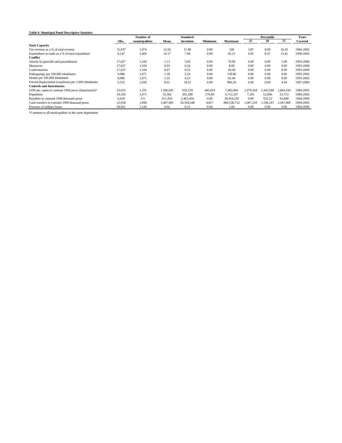#### **Table 6. Municipal Panel Descriptive Statistics**

|                                                       | Number of |                | <b>Standard</b> |            |         | Percentile     |           |           | <b>Years</b> |           |
|-------------------------------------------------------|-----------|----------------|-----------------|------------|---------|----------------|-----------|-----------|--------------|-----------|
|                                                       | Obs.      | municipalities | Mean            | deviation  | Minimum | <b>Maximum</b> | 25        | 50        | 75           | Covered   |
| <b>State Capacity</b>                                 |           |                |                 |            |         |                |           |           |              |           |
| Tax revenue as a % of total revenue                   | 15,937    | 1,074          | 12.02           | 11.88      | 0.00    | 100            | 3.87      | 8.09      | 16.20        | 1984-2002 |
| Expenditure in roads as a % of total expenditure      | 8,147     | 1,069          | 10.17           | 7.48       | 0.00    | 82.21          | 4.95      | 8.47      | 13.42        | 1990-2002 |
| <b>Conflict</b>                                       |           |                |                 |            |         |                |           |           |              |           |
| Attacks by guerrilla and paramilitaries               | 17,627    | 1,104          | 1.13            | 3.60       | 0.00    | 76.00          | 0.00      | 0.00      | 1.00         | 1993-2008 |
| Massacres                                             | 17,627    | 1,104          | 0.03            | 0.24       | 0.00    | 8.00           | 0.00      | 0.00      | 0.00         | 1993-2008 |
| Confrontations                                        | 17.627    | 1.104          | 0.07            | 0.55       | 0.00    | 20.00          | 0.00      | 0.00      | 0.00         | 1993-2008 |
| Kidnappings per 100,000 inhabitants                   | 9.986     | 1,071          | 1.39            | 5.54       | 0.00    | 139.86         | 0.00      | 0.00      | 0.00         | 1993-2002 |
| Deaths per 100,000 inhabitants                        | 9.986     | 1.071          | 1.25            | 4.53       | 0.00    | 62.46          | 0.00      | 0.00      | 0.00         | 1993-2002 |
| Forced displacement (expulsion) per 1,000 inhabitants | 5,552     | 1,030          | 8.61            | 34.52      | 0.00    | 896.20         | 0.00      | 0.69      | 4.04         | 1997-2009 |
| <b>Controls and Instruments</b>                       |           |                |                 |            |         |                |           |           |              |           |
| GDP per capita in constant 1994 pesos (department)*   | 23,623    | 1,101          | 1.506.641       | 632.529    | 445,014 | 7.482.864      | 1,079,564 | 1.443.580 | 1.864.334    | 1984-2005 |
| Population                                            | 19.350    | 1.071          | 35,362          | 201.288    | 576.00  | 6.712.247      | 7.201     | 12.696    | 23.753       | 1984-2002 |
| Royalties in constant 1998 thousand pesos             | 6,639     | 511            | 611,910         | 2,465,434  | 0.00    | 39,454,256     | 0.00      | 332.23    | 82,880       | 1994-2006 |
| Cash transfers in constant 1998 thousand pesos        | 12,938    | 1,098          | 3.407.081       | 20,594.548 | 4.817   | 806.538.752    | 1.067.259 | 1.596.347 | 2.447.068    | 1994-2005 |
| Presence of military bases                            | 28,921    | 1,126          | 0.02            | 0.15       | 0.00    | 1.00           | 0.00      | 0.00      | 0.00         | 1984-2009 |
|                                                       |           |                |                 |            |         |                |           |           |              |           |

\*Common to all municipalities in the same department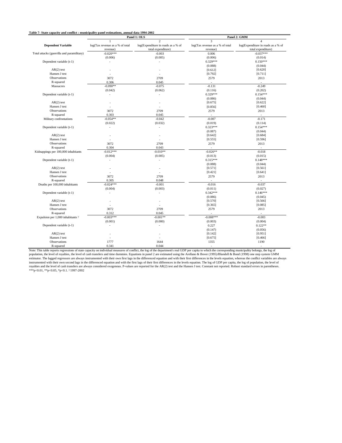#### **Table 7- State capacity and conflict : municipality panel estimations, annual data 1994-2002**

|                                               |                                 | Panel 1: OLS                       | Panel 2: GMM                    |                                    |  |  |
|-----------------------------------------------|---------------------------------|------------------------------------|---------------------------------|------------------------------------|--|--|
|                                               | $\mathbf{1}$                    | $\overline{a}$                     | $\overline{3}$                  | $\overline{\mathbf{4}}$            |  |  |
| <b>Dependent Variable</b>                     | log(Tax revenue as a % of total | log(Expenditure in roads as a % of | log(Tax revenue as a % of total | log(Expenditure in roads as a % of |  |  |
|                                               | revenue)                        | total expenditure)                 | revenue)                        | total expenditure)                 |  |  |
| Total attacks (guerrilla and paramilitary)    | $-0.020***$                     | $-0.003$                           | 0.006                           | $-0.037***$                        |  |  |
|                                               | (0.006)                         | (0.005)                            | (0.006)                         | (0.014)                            |  |  |
| Dependent variable (t-1)                      | ä,                              | ä,                                 | $0.329***$                      | $0.150***$                         |  |  |
|                                               |                                 |                                    | (0.088)                         | (0.044)                            |  |  |
| $AR(2)$ test                                  | $\overline{\phantom{a}}$        |                                    | [0.612]                         | [0.620]                            |  |  |
| Hansen J test                                 | ÷,                              | $\overline{\phantom{a}}$           | [0.792]                         | [0.711]                            |  |  |
| Observations                                  | 3072                            | 2709                               | 2579                            | 2013                               |  |  |
| R-squared                                     | 0.306                           | 0.045                              | ÷                               | $\sim$                             |  |  |
| Massacres                                     | $-0.090**$                      | $-0.075$                           | $-0.131$                        | $-0.249$                           |  |  |
|                                               | (0.042)                         | (0.062)                            | (0.116)                         | (0.202)                            |  |  |
| Dependent variable (t-1)                      |                                 | ÷,                                 | 0.329***                        | $0.154***$                         |  |  |
|                                               |                                 |                                    | (0.086)                         | (0.044)                            |  |  |
| $AR(2)$ test                                  |                                 |                                    | [0.675]                         | [0.622]                            |  |  |
| Hansen J test                                 |                                 |                                    | [0.856]                         | [0.460]                            |  |  |
| Observations                                  | 3072                            | 2709                               | 2579                            | 2013                               |  |  |
| R-squared                                     | 0.303                           | 0.045                              | $\sim$                          | $\sim$                             |  |  |
| Military confrontations                       | $-0.054**$                      | $-0.042$                           | $-0.007$                        | $-0.171$                           |  |  |
|                                               |                                 |                                    |                                 | (0.114)                            |  |  |
|                                               | (0.022)                         | (0.032)                            | (0.019)                         |                                    |  |  |
| Dependent variable (t-1)                      | ÷,                              | ÷,                                 | $0.323***$                      | $0.154***$                         |  |  |
|                                               |                                 |                                    | (0.087)                         | (0.044)                            |  |  |
| $AR(2)$ test                                  |                                 |                                    | [0.642]                         | [0.684]                            |  |  |
| Hansen J test                                 | $\overline{\phantom{a}}$        | $\overline{\phantom{a}}$           | [0.555]                         | [0.596]                            |  |  |
| Observations                                  | 3072                            | 2709                               | 2579                            | 2013                               |  |  |
| R-squared                                     | 0.304                           | 0.043                              | ÷,                              | $\sim$                             |  |  |
| Kidnappings per 100,000 inhabitants           | $-0.012***$                     | $-0.010**$                         | $-0.026**$                      | $-0.018$                           |  |  |
|                                               | (0.004)                         | (0.005)                            | (0.013)                         | (0.015)                            |  |  |
| Dependent variable (t-1)                      | ÷,                              | ٠                                  | $0.315***$                      | $0.148***$                         |  |  |
|                                               |                                 |                                    | (0.088)                         | (0.044)                            |  |  |
| $AR(2)$ test                                  |                                 |                                    | [0.571]                         | [0.561]                            |  |  |
| Hansen J test                                 | $\overline{\phantom{a}}$        |                                    | [0.421]                         | [0.641]                            |  |  |
| Observations                                  | 3072                            | 2709                               | 2579                            | 2013                               |  |  |
| R-squared                                     | 0.305                           | 0.048                              | L.                              | ÷.                                 |  |  |
| Deaths per 100,000 inhabitants                | $-0.024***$                     | $-0.001$                           | $-0.016$                        | $-0.037$                           |  |  |
|                                               | (0.004)                         | (0.003)                            | (0.011)                         | (0.027)                            |  |  |
| Dependent variable (t-1)                      |                                 | $\overline{\phantom{a}}$           | $0.342***$                      | $0.146***$                         |  |  |
|                                               |                                 |                                    | (0.086)                         | (0.045)                            |  |  |
| $AR(2)$ test                                  | $\overline{\phantom{a}}$        | ٠                                  | [0.570]                         | [0.566]                            |  |  |
| Hansen J test                                 |                                 |                                    | [0.365]                         | [0.085]                            |  |  |
| Observations                                  | 3072                            | 2709                               | 2579                            | 2013                               |  |  |
| R-squared                                     | 0.312                           | 0.045                              |                                 | $\overline{\phantom{a}}$           |  |  |
| Expulsion per 1,000 inhabitants $\frac{1}{2}$ | $-0.003***$                     | $-0.001**$                         | $-0.008***$                     | $-0.003$                           |  |  |
|                                               | (0.001)                         | (0.000)                            | (0.003)                         | (0.004)                            |  |  |
| Dependent variable (t-1)                      | $\overline{a}$                  | $\overline{a}$                     | 0.227                           | $0.122**$                          |  |  |
|                                               |                                 |                                    | (0.147)                         | (0.056)                            |  |  |
| $AR(2)$ test                                  |                                 |                                    | [0.142]                         | [0.951]                            |  |  |
| Hansen J test                                 |                                 |                                    | [0.675]                         | [0.466]                            |  |  |
| Observations                                  | 1777                            | 1644                               | 1355                            | 1190                               |  |  |
| R-squared                                     | 0.341                           | 0.044                              |                                 |                                    |  |  |

0.341<br>Note: This table reports regnances of state capacity on individual measures of conflict, the log of the department's real GDP per capita to which the corresponding municipality belongs, the log of<br>population, the lev instrumented with their own second lags in the differenced equation and with the first lags of their first differences in the levels equation. The log of GDP per capita, the log of population, the level of<br>royalties and th